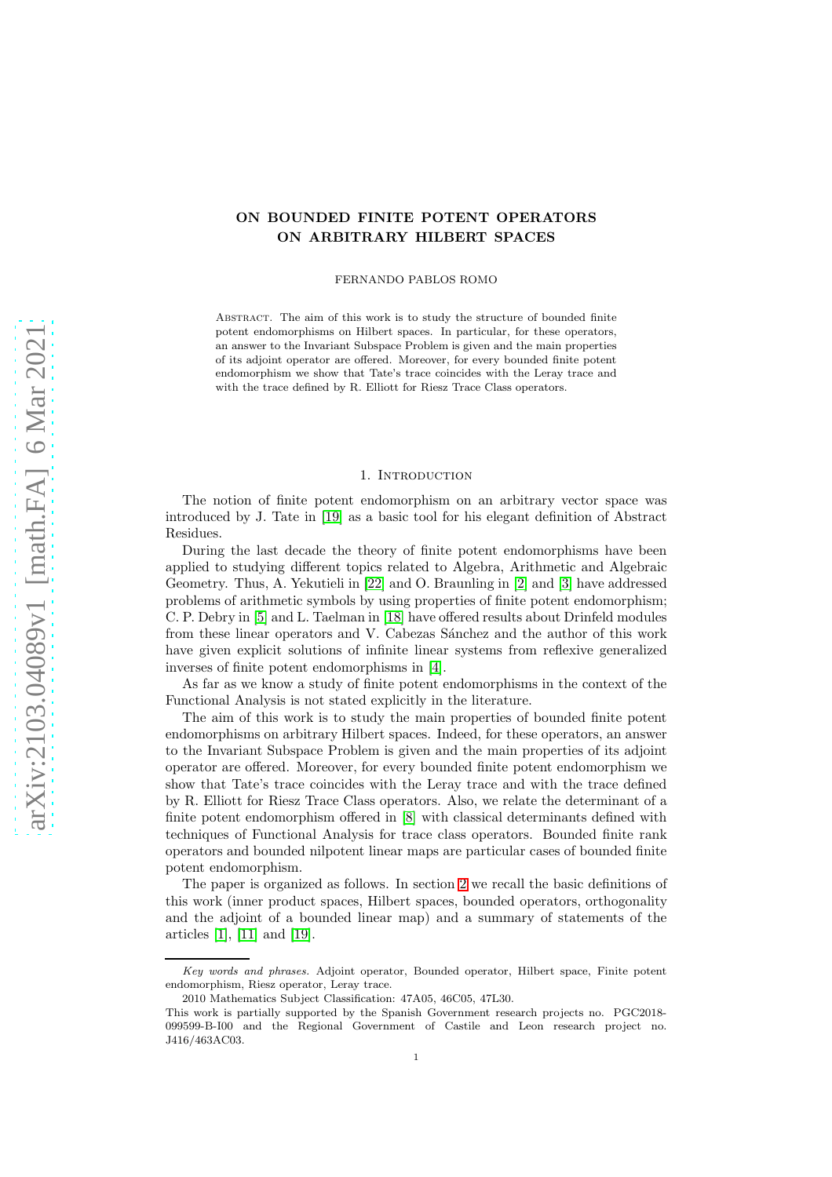# ON BOUNDED FINITE POTENT OPERATORS ON ARBITRARY HILBERT SPACES

#### FERNANDO PABLOS ROMO

ABSTRACT. The aim of this work is to study the structure of bounded finite potent endomorphisms on Hilbert spaces. In particular, for these operators, an answer to the Invariant Subspace Problem is given and the main properties of its adjoint operator are offered. Moreover, for every bounded finite potent endomorphism we show that Tate's trace coincides with the Leray trace and with the trace defined by R. Elliott for Riesz Trace Class operators.

## 1. INTRODUCTION

The notion of finite potent endomorphism on an arbitrary vector space was introduced by J. Tate in [\[19\]](#page-17-0) as a basic tool for his elegant definition of Abstract Residues.

During the last decade the theory of finite potent endomorphisms have been applied to studying different topics related to Algebra, Arithmetic and Algebraic Geometry. Thus, A. Yekutieli in [\[22\]](#page-18-0) and O. Braunling in [\[2\]](#page-17-1) and [\[3\]](#page-17-2) have addressed problems of arithmetic symbols by using properties of finite potent endomorphism; C. P. Debry in [\[5\]](#page-17-3) and L. Taelman in [\[18\]](#page-17-4) have offered results about Drinfeld modules from these linear operators and V. Cabezas Sánchez and the author of this work have given explicit solutions of infinite linear systems from reflexive generalized inverses of finite potent endomorphisms in [\[4\]](#page-17-5).

As far as we know a study of finite potent endomorphisms in the context of the Functional Analysis is not stated explicitly in the literature.

The aim of this work is to study the main properties of bounded finite potent endomorphisms on arbitrary Hilbert spaces. Indeed, for these operators, an answer to the Invariant Subspace Problem is given and the main properties of its adjoint operator are offered. Moreover, for every bounded finite potent endomorphism we show that Tate's trace coincides with the Leray trace and with the trace defined by R. Elliott for Riesz Trace Class operators. Also, we relate the determinant of a finite potent endomorphism offered in [\[8\]](#page-17-6) with classical determinants defined with techniques of Functional Analysis for trace class operators. Bounded finite rank operators and bounded nilpotent linear maps are particular cases of bounded finite potent endomorphism.

The paper is organized as follows. In section [2](#page-1-0) we recall the basic definitions of this work (inner product spaces, Hilbert spaces, bounded operators, orthogonality and the adjoint of a bounded linear map) and a summary of statements of the articles [\[1\]](#page-17-7), [\[11\]](#page-17-8) and [\[19\]](#page-17-0).

Key words and phrases. Adjoint operator, Bounded operator, Hilbert space, Finite potent endomorphism, Riesz operator, Leray trace.

<sup>2010</sup> Mathematics Subject Classification: 47A05, 46C05, 47L30.

This work is partially supported by the Spanish Government research projects no. PGC2018- 099599-B-I00 and the Regional Government of Castile and Leon research project no. J416/463AC03.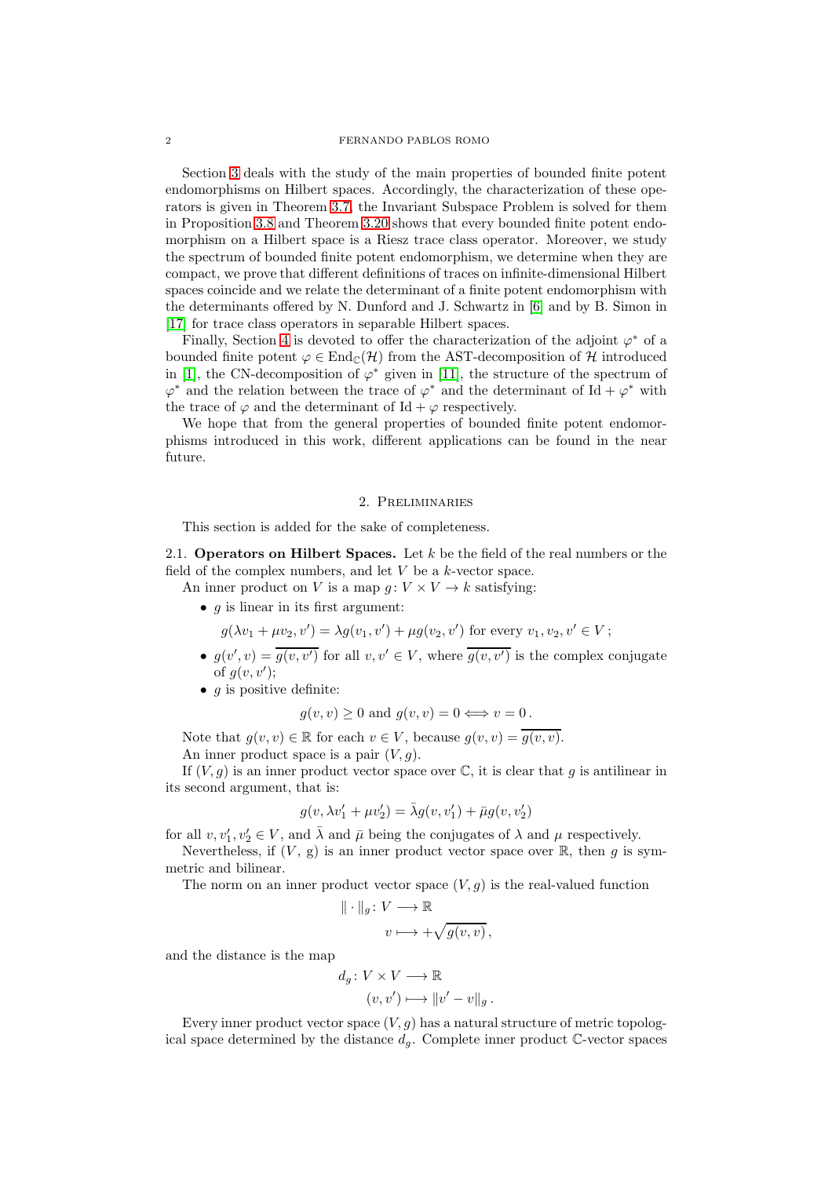#### 2 FERNANDO PABLOS ROMO

Section [3](#page-6-0) deals with the study of the main properties of bounded finite potent endomorphisms on Hilbert spaces. Accordingly, the characterization of these operators is given in Theorem [3.7,](#page-8-0) the Invariant Subspace Problem is solved for them in Proposition [3.8](#page-8-1) and Theorem [3.20](#page-11-0) shows that every bounded finite potent endomorphism on a Hilbert space is a Riesz trace class operator. Moreover, we study the spectrum of bounded finite potent endomorphism, we determine when they are compact, we prove that different definitions of traces on infinite-dimensional Hilbert spaces coincide and we relate the determinant of a finite potent endomorphism with the determinants offered by N. Dunford and J. Schwartz in [\[6\]](#page-17-9) and by B. Simon in [\[17\]](#page-17-10) for trace class operators in separable Hilbert spaces.

Finally, Section [4](#page-13-0) is devoted to offer the characterization of the adjoint  $\varphi^*$  of a bounded finite potent  $\varphi \in \text{End}_{\mathbb{C}}(\mathcal{H})$  from the AST-decomposition of  $\mathcal{H}$  introduced in [\[1\]](#page-17-7), the CN-decomposition of  $\varphi^*$  given in [\[11\]](#page-17-8), the structure of the spectrum of  $\varphi^*$  and the relation between the trace of  $\varphi^*$  and the determinant of Id +  $\varphi^*$  with the trace of  $\varphi$  and the determinant of Id +  $\varphi$  respectively.

We hope that from the general properties of bounded finite potent endomorphisms introduced in this work, different applications can be found in the near future.

## 2. Preliminaries

<span id="page-1-0"></span>This section is added for the sake of completeness.

2.1. **Operators on Hilbert Spaces.** Let  $k$  be the field of the real numbers or the field of the complex numbers, and let  $V$  be a  $k$ -vector space.

An inner product on V is a map  $g: V \times V \to k$  satisfying:

•  $q$  is linear in its first argument:

 $g(\lambda v_1 + \mu v_2, v') = \lambda g(v_1, v') + \mu g(v_2, v')$  for every  $v_1, v_2, v' \in V$ ;

- $g(v', v) = \overline{g(v, v')}$  for all  $v, v' \in V$ , where  $\overline{g(v, v')}$  is the complex conjugate of  $g(v, v');$
- $q$  is positive definite:

$$
g(v, v) \ge 0
$$
 and  $g(v, v) = 0 \Longleftrightarrow v = 0$ .

Note that  $g(v, v) \in \mathbb{R}$  for each  $v \in V$ , because  $g(v, v) = \overline{g(v, v)}$ . An inner product space is a pair  $(V, g)$ .

If  $(V, g)$  is an inner product vector space over  $\mathbb{C}$ , it is clear that g is antilinear in its second argument, that is:

$$
g(v,\lambda v_1'+\mu v_2')=\bar{\lambda}g(v,v_1')+\bar{\mu}g(v,v_2')
$$

for all  $v, v'_1, v'_2 \in V$ , and  $\bar{\lambda}$  and  $\bar{\mu}$  being the conjugates of  $\lambda$  and  $\mu$  respectively.

Nevertheless, if  $(V, g)$  is an inner product vector space over  $\mathbb{R}$ , then g is symmetric and bilinear.

The norm on an inner product vector space  $(V, g)$  is the real-valued function

$$
\|\cdot\|_g\colon V\longrightarrow \mathbb{R}
$$

$$
v\longmapsto +\sqrt{g(v,v)},
$$

and the distance is the map

$$
d_g \colon V \times V \longrightarrow \mathbb{R}
$$

$$
(v, v') \longmapsto ||v' - v||_g.
$$

Every inner product vector space  $(V, g)$  has a natural structure of metric topological space determined by the distance  $d_q$ . Complete inner product  $\mathbb{C}$ -vector spaces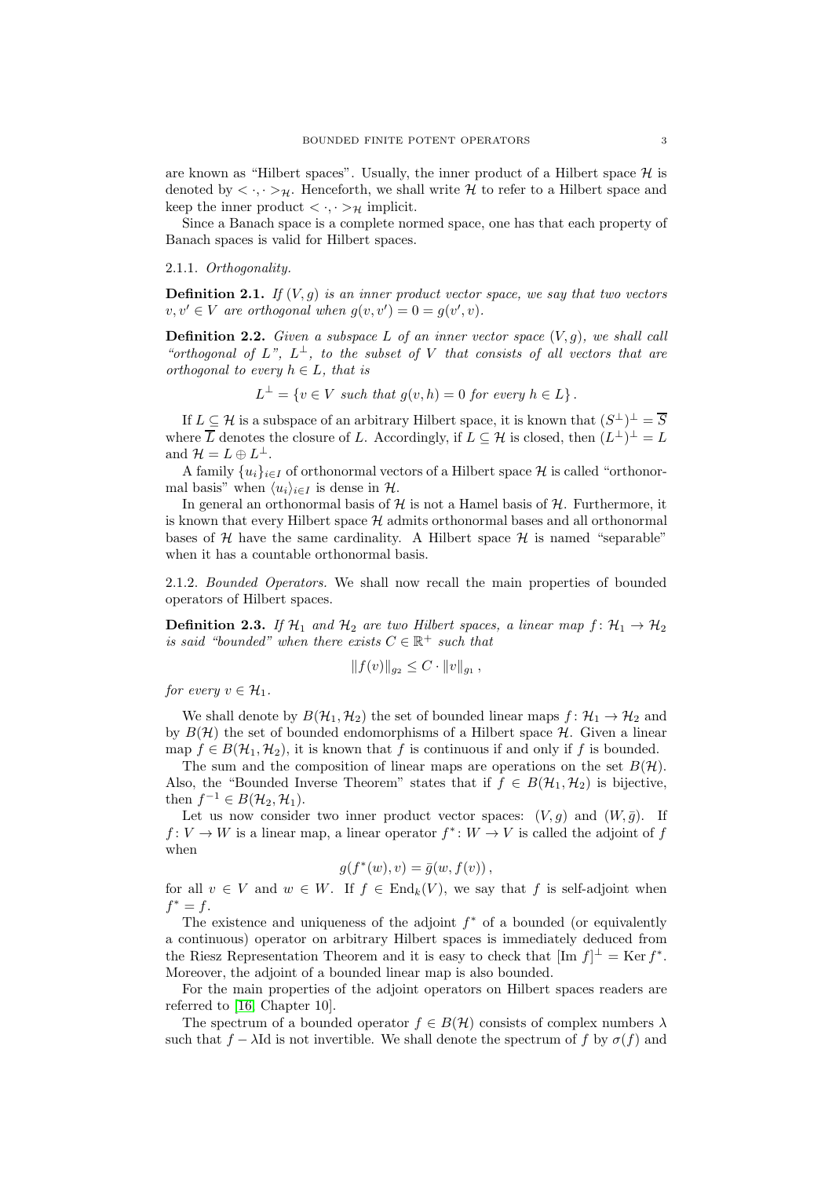are known as "Hilbert spaces". Usually, the inner product of a Hilbert space  $\mathcal H$  is denoted by  $\langle \cdot, \cdot \rangle_{\mathcal{H}}$ . Henceforth, we shall write  $\mathcal{H}$  to refer to a Hilbert space and keep the inner product  $\langle \cdot, \cdot \rangle_{\mathcal{H}}$  implicit.

Since a Banach space is a complete normed space, one has that each property of Banach spaces is valid for Hilbert spaces.

## 2.1.1. Orthogonality.

**Definition 2.1.** If  $(V, g)$  is an inner product vector space, we say that two vectors  $v, v' \in V$  are orthogonal when  $g(v, v') = 0 = g(v', v)$ .

**Definition 2.2.** Given a subspace L of an inner vector space  $(V, g)$ , we shall call "orthogonal of  $L^{\nu}$ ,  $L^{\perp}$ , to the subset of V that consists of all vectors that are orthogonal to every  $h \in L$ , that is

$$
L^{\perp} = \{ v \in V \text{ such that } g(v, h) = 0 \text{ for every } h \in L \}.
$$

If  $L \subseteq \mathcal{H}$  is a subspace of an arbitrary Hilbert space, it is known that  $(S^{\perp})^{\perp} = \overline{S}$ where  $\overline{L}$  denotes the closure of L. Accordingly, if  $L \subseteq \mathcal{H}$  is closed, then  $(L^{\perp})^{\perp} = L$ and  $\mathcal{H} = L \oplus L^{\perp}$ .

A family  $\{u_i\}_{i\in I}$  of orthonormal vectors of a Hilbert space H is called "orthonormal basis" when  $\langle u_i \rangle_{i \in I}$  is dense in H.

In general an orthonormal basis of  $\mathcal H$  is not a Hamel basis of  $\mathcal H$ . Furthermore, it is known that every Hilbert space  $H$  admits orthonormal bases and all orthonormal bases of  $H$  have the same cardinality. A Hilbert space  $H$  is named "separable" when it has a countable orthonormal basis.

2.1.2. Bounded Operators. We shall now recall the main properties of bounded operators of Hilbert spaces.

**Definition 2.3.** If  $\mathcal{H}_1$  and  $\mathcal{H}_2$  are two Hilbert spaces, a linear map  $f: \mathcal{H}_1 \rightarrow \mathcal{H}_2$ is said "bounded" when there exists  $C \in \mathbb{R}^+$  such that

$$
||f(v)||_{g_2} \leq C \cdot ||v||_{g_1},
$$

for every  $v \in \mathcal{H}_1$ .

We shall denote by  $B(\mathcal{H}_1, \mathcal{H}_2)$  the set of bounded linear maps  $f: \mathcal{H}_1 \to \mathcal{H}_2$  and by  $B(\mathcal{H})$  the set of bounded endomorphisms of a Hilbert space  $\mathcal{H}$ . Given a linear map  $f \in B(\mathcal{H}_1, \mathcal{H}_2)$ , it is known that f is continuous if and only if f is bounded.

The sum and the composition of linear maps are operations on the set  $B(\mathcal{H})$ . Also, the "Bounded Inverse Theorem" states that if  $f \in B(\mathcal{H}_1, \mathcal{H}_2)$  is bijective, then  $f^{-1} \in B(\mathcal{H}_2, \mathcal{H}_1)$ .

Let us now consider two inner product vector spaces:  $(V, g)$  and  $(W, \bar{g})$ . If  $f: V \to W$  is a linear map, a linear operator  $f^*: W \to V$  is called the adjoint of f when

$$
g(f^*(w), v) = \overline{g}(w, f(v)),
$$

for all  $v \in V$  and  $w \in W$ . If  $f \in End_k(V)$ , we say that f is self-adjoint when  $f^* = f$ .

The existence and uniqueness of the adjoint  $f^*$  of a bounded (or equivalently a continuous) operator on arbitrary Hilbert spaces is immediately deduced from the Riesz Representation Theorem and it is easy to check that  $[\text{Im } f]^\perp = \text{Ker } f^*$ . Moreover, the adjoint of a bounded linear map is also bounded.

For the main properties of the adjoint operators on Hilbert spaces readers are referred to [\[16,](#page-17-11) Chapter 10].

The spectrum of a bounded operator  $f \in B(H)$  consists of complex numbers  $\lambda$ such that  $f - \lambda \text{Id}$  is not invertible. We shall denote the spectrum of f by  $\sigma(f)$  and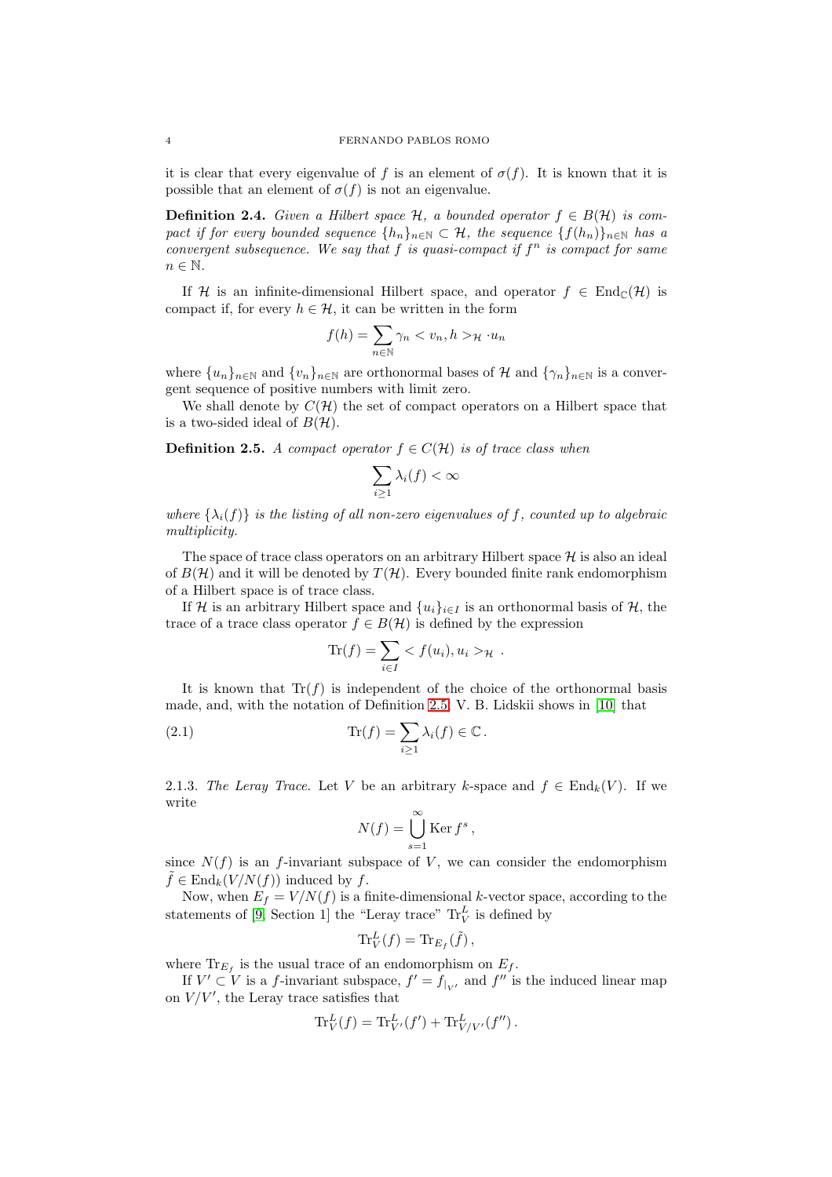it is clear that every eigenvalue of f is an element of  $\sigma(f)$ . It is known that it is possible that an element of  $\sigma(f)$  is not an eigenvalue.

<span id="page-3-1"></span>**Definition 2.4.** Given a Hilbert space  $H$ , a bounded operator  $f \in B(H)$  is compact if for every bounded sequence  $\{h_n\}_{n\in\mathbb{N}}\subset\mathcal{H}$ , the sequence  $\{f(h_n)\}_{n\in\mathbb{N}}$  has a convergent subsequence. We say that  $f$  is quasi-compact if  $f^n$  is compact for same  $n \in \mathbb{N}$ .

If H is an infinite-dimensional Hilbert space, and operator  $f \in \text{End}_{\mathbb{C}}(\mathcal{H})$  is compact if, for every  $h \in \mathcal{H}$ , it can be written in the form

$$
f(h) = \sum_{n \in \mathbb{N}} \gamma_n < v_n, h > \mathcal{H} \cdot u_n
$$

where  $\{u_n\}_{n\in\mathbb{N}}$  and  $\{v_n\}_{n\in\mathbb{N}}$  are orthonormal bases of H and  $\{\gamma_n\}_{n\in\mathbb{N}}$  is a convergent sequence of positive numbers with limit zero.

We shall denote by  $C(\mathcal{H})$  the set of compact operators on a Hilbert space that is a two-sided ideal of  $B(\mathcal{H})$ .

<span id="page-3-0"></span>**Definition 2.5.** A compact operator  $f \in C(\mathcal{H})$  is of trace class when

$$
\sum_{i\geq 1}\lambda_i(f)<\infty
$$

where  $\{\lambda_i(f)\}\$ is the listing of all non-zero eigenvalues of f, counted up to algebraic multiplicity.

The space of trace class operators on an arbitrary Hilbert space  $\mathcal H$  is also an ideal of  $B(\mathcal{H})$  and it will be denoted by  $T(\mathcal{H})$ . Every bounded finite rank endomorphism of a Hilbert space is of trace class.

If H is an arbitrary Hilbert space and  $\{u_i\}_{i\in I}$  is an orthonormal basis of H, the trace of a trace class operator  $f \in B(H)$  is defined by the expression

<span id="page-3-2"></span>
$$
\text{Tr}(f) = \sum_{i \in I} < f(u_i), u_i > \mathcal{H} \; .
$$

It is known that  $\text{Tr}(f)$  is independent of the choice of the orthonormal basis made, and, with the notation of Definition [2.5,](#page-3-0) V. B. Lidskii shows in [\[10\]](#page-17-12) that

(2.1) 
$$
\operatorname{Tr}(f) = \sum_{i \geq 1} \lambda_i(f) \in \mathbb{C}.
$$

<span id="page-3-3"></span>2.1.3. The Leray Trace. Let V be an arbitrary k-space and  $f \in \text{End}_k(V)$ . If we write

$$
N(f) = \bigcup_{s=1}^{\infty} \text{Ker } f^s,
$$

since  $N(f)$  is an f-invariant subspace of V, we can consider the endomorphism  $\tilde{f} \in \text{End}_k(V/N(f))$  induced by f.

Now, when  $E_f = V/N(f)$  is a finite-dimensional k-vector space, according to the statements of [\[9,](#page-17-13) Section 1] the "Leray trace"  $\text{Tr}_V^L$  is defined by

$$
\text{Tr}_V^L(f) = \text{Tr}_{E_f}(\tilde{f}),
$$

where  $\text{Tr}_{E_f}$  is the usual trace of an endomorphism on  $E_f$ .

If  $V' \subset V$  is a f-invariant subspace,  $f' = f_{|_{V'}}$  and  $f''$  is the induced linear map on  $V/V'$ , the Leray trace satisfies that

$$
\text{Tr}_V^L(f) = \text{Tr}_{V'}^L(f') + \text{Tr}_{V/V'}^L(f'').
$$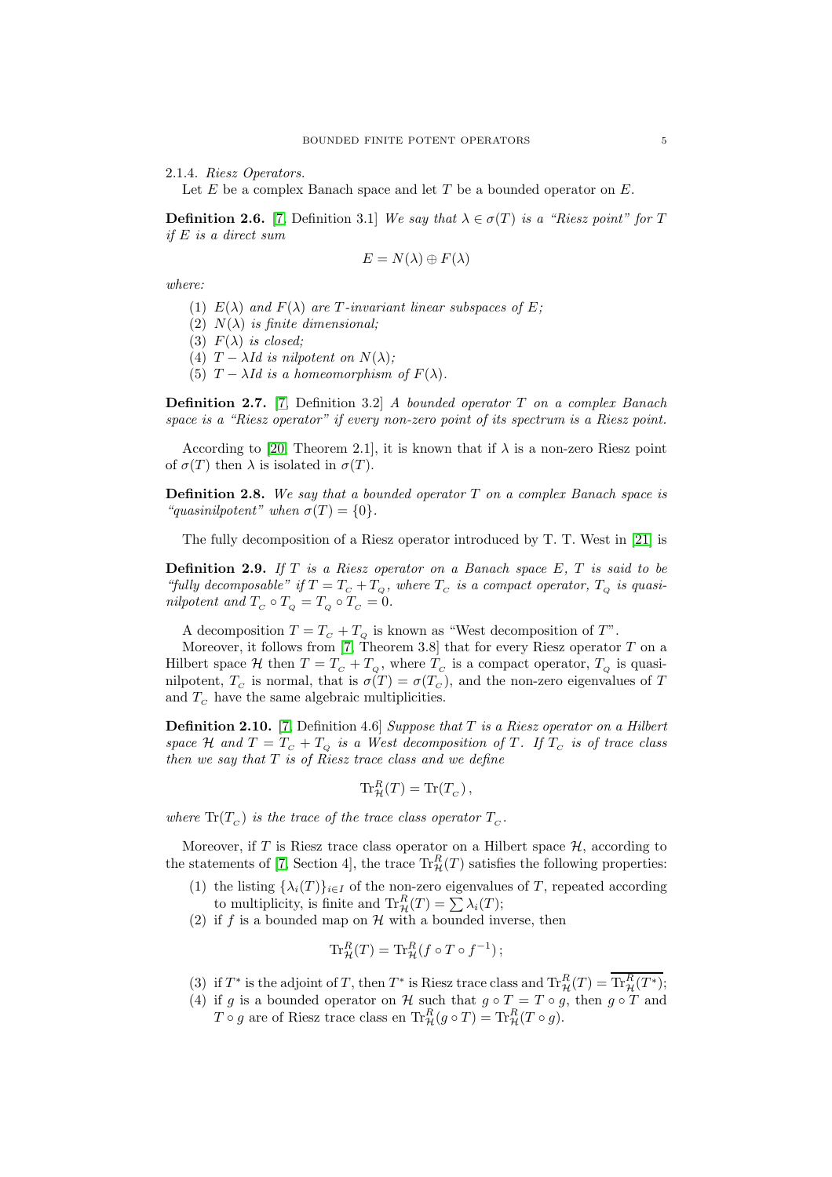2.1.4. Riesz Operators.

Let  $E$  be a complex Banach space and let  $T$  be a bounded operator on  $E$ .

<span id="page-4-0"></span>**Definition 2.6.** [\[7,](#page-17-14) Definition 3.1] We say that  $\lambda \in \sigma(T)$  is a "Riesz point" for T if E is a direct sum

$$
E = N(\lambda) \oplus F(\lambda)
$$

where:

- (1)  $E(\lambda)$  and  $F(\lambda)$  are T-invariant linear subspaces of E;
- (2)  $N(\lambda)$  is finite dimensional;
- (3)  $F(\lambda)$  is closed;
- (4)  $T \lambda Id$  is nilpotent on  $N(\lambda)$ ;
- (5)  $T \lambda Id$  is a homeomorphism of  $F(\lambda)$ .

**Definition 2.7.** [\[7,](#page-17-14) Definition 3.2] A bounded operator T on a complex Banach space is a "Riesz operator" if every non-zero point of its spectrum is a Riesz point.

According to [\[20,](#page-18-1) Theorem 2.1], it is known that if  $\lambda$  is a non-zero Riesz point of  $\sigma(T)$  then  $\lambda$  is isolated in  $\sigma(T)$ .

**Definition 2.8.** We say that a bounded operator  $T$  on a complex Banach space is "quasinilpotent" when  $\sigma(T) = \{0\}.$ 

The fully decomposition of a Riesz operator introduced by T. T. West in [\[21\]](#page-18-2) is

<span id="page-4-1"></span>**Definition 2.9.** If  $T$  is a Riesz operator on a Banach space  $E, T$  is said to be "fully decomposable" if  $T = T_c + T_Q$ , where  $T_c$  is a compact operator,  $T_Q$  is quasinilpotent and  $T_C \circ T_Q = T_Q \circ T_C = 0$ .

A decomposition  $T = T_c + T_o$  is known as "West decomposition of T".

Moreover, it follows from [\[7,](#page-17-14) Theorem 3.8] that for every Riesz operator  $T$  on a Hilbert space H then  $T = T_c + T_Q$ , where  $T_c$  is a compact operator,  $T_Q$  is quasinilpotent,  $T_c$  is normal, that is  $\sigma(T) = \sigma(T_c)$ , and the non-zero eigenvalues of T and  $T_c$  have the same algebraic multiplicities.

<span id="page-4-2"></span>**Definition 2.10.** [\[7,](#page-17-14) Definition 4.6] Suppose that  $T$  is a Riesz operator on a Hilbert space H and  $T = T_c + T_q$  is a West decomposition of T. If  $T_c$  is of trace class then we say that  $T$  is of Riesz trace class and we define

$$
\operatorname{Tr}^R_{\mathcal{H}}(T) = \operatorname{Tr}(T_C),
$$

where  $\text{Tr}(T_c)$  is the trace of the trace class operator  $T_c$ .

Moreover, if T is Riesz trace class operator on a Hilbert space  $H$ , according to the statements of [\[7,](#page-17-14) Section 4], the trace  $\text{Tr}^R_{\mathcal{H}}(T)$  satisfies the following properties:

- (1) the listing  $\{\lambda_i(T)\}_{i\in I}$  of the non-zero eigenvalues of T, repeated according to multiplicity, is finite and  $\text{Tr}^R_{\mathcal{H}}(T) = \sum \lambda_i(T);$
- (2) if f is a bounded map on  $\mathcal H$  with a bounded inverse, then

$$
\mathrm{Tr}^R_{\mathcal{H}}(T) = \mathrm{Tr}^R_{\mathcal{H}}(f \circ T \circ f^{-1});
$$

- (3) if  $T^*$  is the adjoint of T, then  $T^*$  is Riesz trace class and  $\text{Tr}^R_{\mathcal{H}}(T) = \text{Tr}^R_{\mathcal{H}}(T^*)$ ;
- (4) if g is a bounded operator on H such that  $g \circ T = T \circ g$ , then  $g \circ T$  and  $T \circ g$  are of Riesz trace class en  $\text{Tr}^R_{\mathcal{H}}(g \circ T) = \text{Tr}^R_{\mathcal{H}}(T \circ g)$ .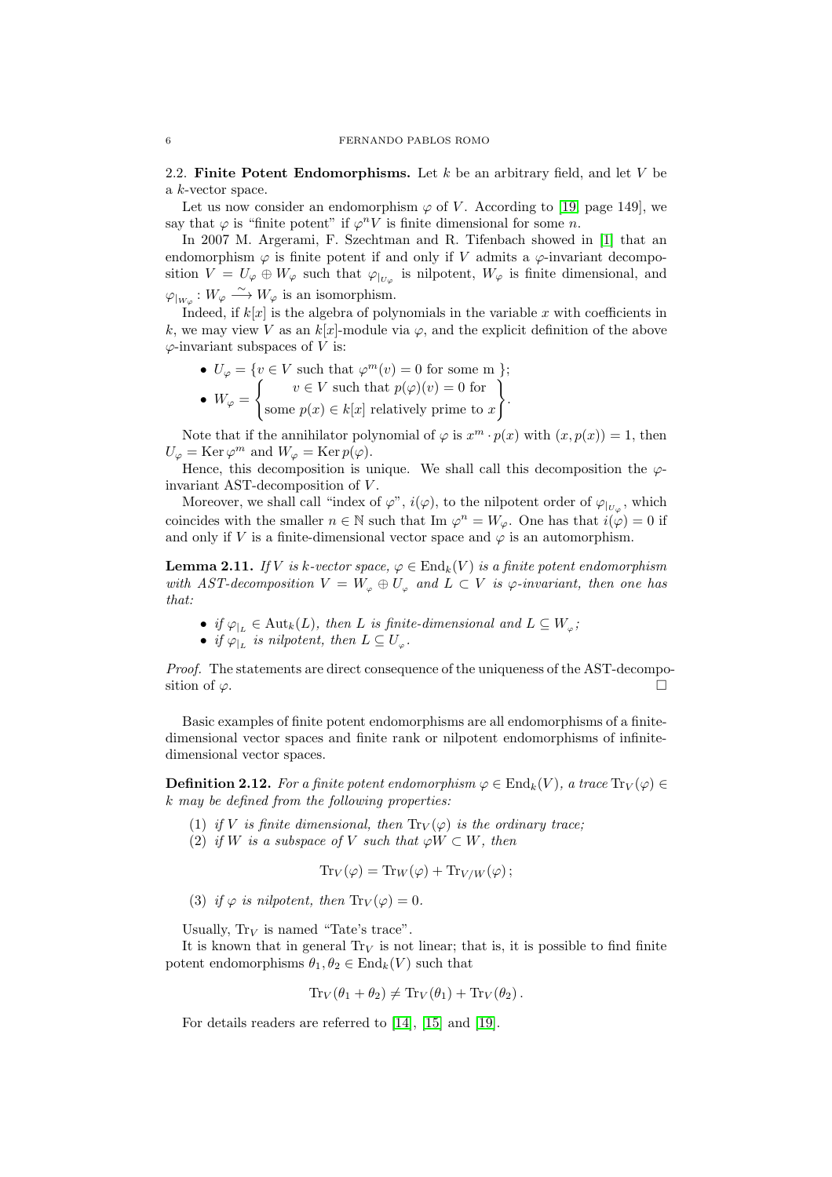2.2. Finite Potent Endomorphisms. Let  $k$  be an arbitrary field, and let  $V$  be a k-vector space.

Let us now consider an endomorphism  $\varphi$  of V. According to [\[19,](#page-17-0) page 149], we say that  $\varphi$  is "finite potent" if  $\varphi^n V$  is finite dimensional for some n.

In 2007 M. Argerami, F. Szechtman and R. Tifenbach showed in [\[1\]](#page-17-7) that an endomorphism  $\varphi$  is finite potent if and only if V admits a  $\varphi$ -invariant decomposition  $V = U_{\varphi} \oplus W_{\varphi}$  such that  $\varphi_{|_{U_{\varphi}}}$  is nilpotent,  $W_{\varphi}$  is finite dimensional, and  $\varphi_{|_{W_{\varphi}}}: W_{\varphi} \longrightarrow W_{\varphi}$  is an isomorphism.

Indeed, if  $k[x]$  is the algebra of polynomials in the variable x with coefficients in k, we may view V as an  $k[x]$ -module via  $\varphi$ , and the explicit definition of the above  $\varphi$ -invariant subspaces of V is:

•  $U_{\varphi} = \{v \in V \text{ such that } \varphi^m(v) = 0 \text{ for some m }\};$  $\bullet \ \ W_\varphi =$  $\int v \in V$  such that  $p(\varphi)(v) = 0$  for some  $p(x) \in k[x]$  relatively prime to x  $\mathcal{L}$ .

Note that if the annihilator polynomial of  $\varphi$  is  $x^m \cdot p(x)$  with  $(x, p(x)) = 1$ , then  $U_{\varphi} = \text{Ker}\,\varphi^m$  and  $W_{\varphi} = \text{Ker}\,p(\varphi)$ .

Hence, this decomposition is unique. We shall call this decomposition the  $\varphi$ invariant AST-decomposition of V .

Moreover, we shall call "index of  $\varphi$ ",  $i(\varphi)$ , to the nilpotent order of  $\varphi_{|_{U_{\varphi}}}$ , which coincides with the smaller  $n \in \mathbb{N}$  such that Im  $\varphi^n = W_{\varphi}$ . One has that  $i(\varphi) = 0$  if and only if V is a finite-dimensional vector space and  $\varphi$  is an automorphism.

<span id="page-5-0"></span>**Lemma 2.11.** If V is k-vector space,  $\varphi \in \text{End}_k(V)$  is a finite potent endomorphism with AST-decomposition  $V = W_{\varphi} \oplus U_{\varphi}$  and  $L \subset V$  is  $\varphi$ -invariant, then one has that:

- if  $\varphi_{|L} \in \text{Aut}_k(L)$ , then L is finite-dimensional and  $L \subseteq W_{\varphi}$ ;
- if  $\varphi_{|L}$  is nilpotent, then  $L \subseteq U_{\varphi}$ .

Proof. The statements are direct consequence of the uniqueness of the AST-decomposition of  $\varphi$ .

Basic examples of finite potent endomorphisms are all endomorphisms of a finitedimensional vector spaces and finite rank or nilpotent endomorphisms of infinitedimensional vector spaces.

**Definition 2.12.** For a finite potent endomorphism  $\varphi \in \text{End}_k(V)$ , a trace  $\text{Tr}_V(\varphi) \in$ k may be defined from the following properties:

- (1) if V is finite dimensional, then  $\text{Tr}_V(\varphi)$  is the ordinary trace;
- (2) if W is a subspace of V such that  $\varphi W \subset W$ , then

$$
\text{Tr}_V(\varphi) = \text{Tr}_W(\varphi) + \text{Tr}_{V/W}(\varphi);
$$

(3) if  $\varphi$  is nilpotent, then  $\text{Tr}_V(\varphi) = 0$ .

Usually,  $Tr_V$  is named "Tate's trace".

It is known that in general  $Tr_V$  is not linear; that is, it is possible to find finite potent endomorphisms  $\theta_1, \theta_2 \in \text{End}_k(V)$  such that

$$
\mathrm{Tr}_V(\theta_1 + \theta_2) \neq \mathrm{Tr}_V(\theta_1) + \mathrm{Tr}_V(\theta_2).
$$

For details readers are referred to [\[14\]](#page-17-15), [\[15\]](#page-17-16) and [\[19\]](#page-17-0).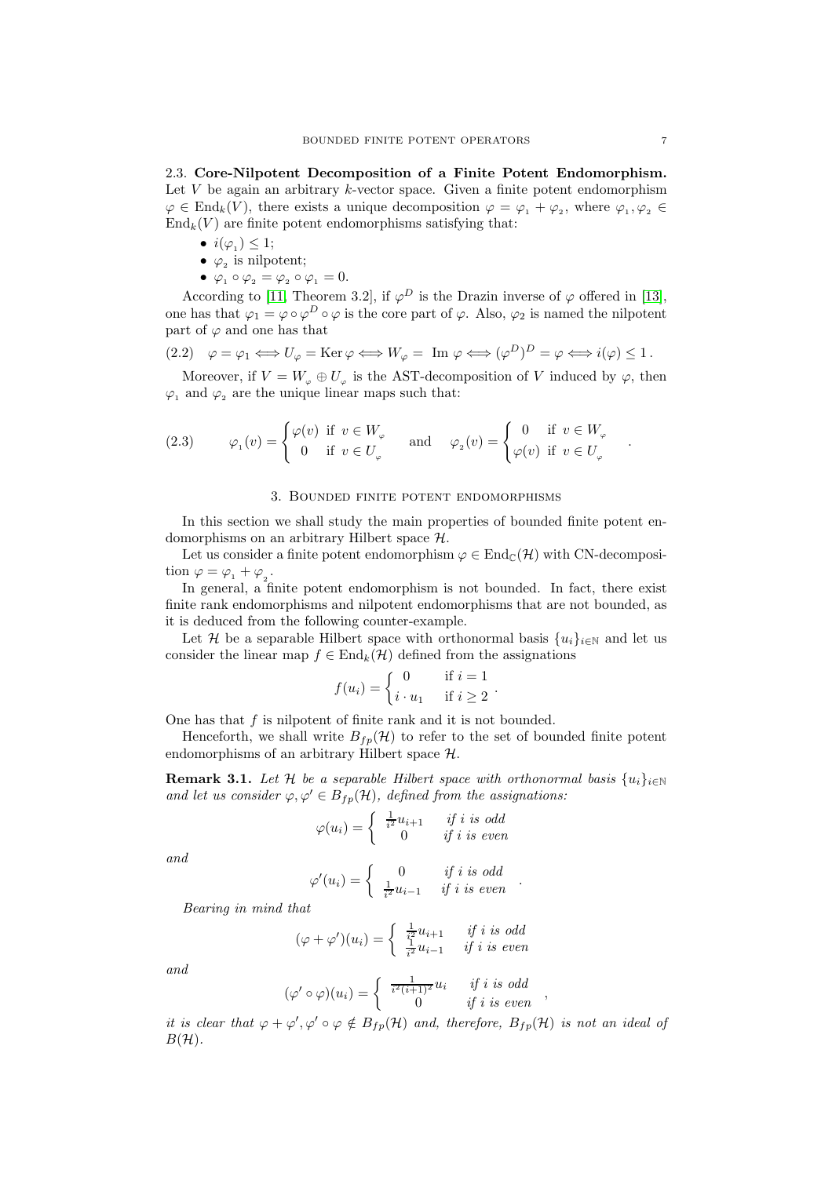2.3. Core-Nilpotent Decomposition of a Finite Potent Endomorphism. Let  $V$  be again an arbitrary  $k$ -vector space. Given a finite potent endomorphism  $\varphi \in \text{End}_k(V)$ , there exists a unique decomposition  $\varphi = \varphi_1 + \varphi_2$ , where  $\varphi_1, \varphi_2 \in$  $\text{End}_k(V)$  are finite potent endomorphisms satisfying that:

- $i(\varphi_1) \leq 1;$
- $\varphi_2$  is nilpotent;
- $\varphi_1 \circ \varphi_2 = \varphi_2 \circ \varphi_1 = 0.$

According to [\[11,](#page-17-8) Theorem 3.2], if  $\varphi^D$  is the Drazin inverse of  $\varphi$  offered in [\[13\]](#page-17-17), one has that  $\varphi_1 = \varphi \circ \varphi^D \circ \varphi$  is the core part of  $\varphi$ . Also,  $\varphi_2$  is named the nilpotent part of  $\varphi$  and one has that

$$
(2.2) \quad \varphi = \varphi_1 \Longleftrightarrow U_{\varphi} = \text{Ker}\,\varphi \Longleftrightarrow W_{\varphi} = \text{Im}\,\,\varphi \Longleftrightarrow (\varphi^D)^D = \varphi \Longleftrightarrow i(\varphi) \le 1.
$$

Moreover, if  $V = W_{\varphi} \oplus U_{\varphi}$  is the AST-decomposition of V induced by  $\varphi$ , then  $\varphi_1$  and  $\varphi_2$  are the unique linear maps such that:

<span id="page-6-1"></span>(2.3) 
$$
\varphi_1(v) = \begin{cases} \varphi(v) & \text{if } v \in W_{\varphi} \\ 0 & \text{if } v \in U_{\varphi} \end{cases} \quad \text{and} \quad \varphi_2(v) = \begin{cases} 0 & \text{if } v \in W_{\varphi} \\ \varphi(v) & \text{if } v \in U_{\varphi} \end{cases}
$$

#### 3. Bounded finite potent endomorphisms

<span id="page-6-0"></span>In this section we shall study the main properties of bounded finite potent endomorphisms on an arbitrary Hilbert space H.

Let us consider a finite potent endomorphism  $\varphi \in \text{End}_{\mathbb{C}}(\mathcal{H})$  with CN-decomposition  $\varphi = \varphi_1 + \varphi_2$ .

In general, a finite potent endomorphism is not bounded. In fact, there exist finite rank endomorphisms and nilpotent endomorphisms that are not bounded, as it is deduced from the following counter-example.

Let H be a separable Hilbert space with orthonormal basis  $\{u_i\}_{i\in\mathbb{N}}$  and let us consider the linear map  $f \in \text{End}_{k}(\mathcal{H})$  defined from the assignations

$$
f(u_i) = \begin{cases} 0 & \text{if } i = 1 \\ i \cdot u_1 & \text{if } i \ge 2 \end{cases}.
$$

One has that  $f$  is nilpotent of finite rank and it is not bounded.

Henceforth, we shall write  $B_{fp}(\mathcal{H})$  to refer to the set of bounded finite potent endomorphisms of an arbitrary Hilbert space H.

**Remark 3.1.** Let H be a separable Hilbert space with orthonormal basis  $\{u_i\}_{i\in\mathbb{N}}$ and let us consider  $\varphi, \varphi' \in B_{fp}(\mathcal{H})$ , defined from the assignations:

$$
\varphi(u_i) = \begin{cases} \frac{1}{i^2}u_{i+1} & \text{if } i \text{ is odd} \\ 0 & \text{if } i \text{ is even} \end{cases}
$$

and

$$
\varphi'(u_i) = \begin{cases} 0 & \text{if } i \text{ is odd} \\ \frac{1}{i^2}u_{i-1} & \text{if } i \text{ is even} \end{cases}.
$$

Bearing in mind that

$$
(\varphi + \varphi')(u_i) = \begin{cases} \frac{1}{i^2}u_{i+1} & \text{if } i \text{ is odd} \\ \frac{1}{i^2}u_{i-1} & \text{if } i \text{ is even} \end{cases}
$$

and

$$
(\varphi' \circ \varphi)(u_i) = \begin{cases} \frac{1}{i^2(i+1)^2} u_i & \text{if } i \text{ is odd} \\ 0 & \text{if } i \text{ is even} \end{cases}
$$

it is clear that  $\varphi + \varphi', \varphi' \circ \varphi \notin B_{fp}(\mathcal{H})$  and, therefore,  $B_{fp}(\mathcal{H})$  is not an ideal of  $B(H)$ .

.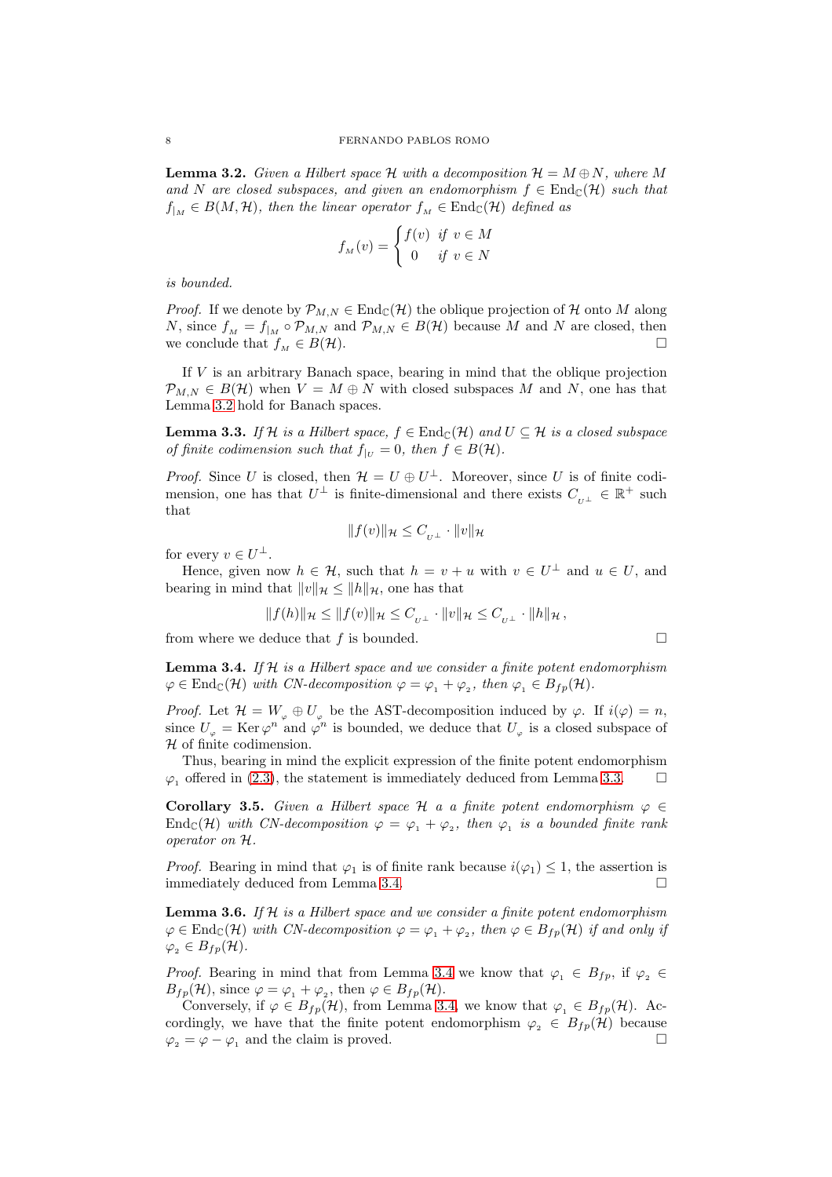<span id="page-7-0"></span>**Lemma 3.2.** Given a Hilbert space H with a decomposition  $\mathcal{H} = M \oplus N$ , where M and N are closed subspaces, and given an endomorphism  $f \in \text{End}_{\mathbb{C}}(\mathcal{H})$  such that  $f_{M} \in B(M, \mathcal{H})$ , then the linear operator  $f_{M} \in \text{End}_{\mathbb{C}}(\mathcal{H})$  defined as

$$
f_M(v) = \begin{cases} f(v) & \text{if } v \in M \\ 0 & \text{if } v \in N \end{cases}
$$

is bounded.

*Proof.* If we denote by  $\mathcal{P}_{M,N} \in \text{End}_{\mathbb{C}}(\mathcal{H})$  the oblique projection of H onto M along N, since  $f_M = f_{|M} \circ \mathcal{P}_{M,N}$  and  $\mathcal{P}_{M,N} \in B(\mathcal{H})$  because M and N are closed, then we conclude that  $f_M \in B(H)$ .

If V is an arbitrary Banach space, bearing in mind that the oblique projection  $\mathcal{P}_{MN} \in B(\mathcal{H})$  when  $V = M \oplus N$  with closed subspaces M and N, one has that Lemma [3.2](#page-7-0) hold for Banach spaces.

<span id="page-7-1"></span>**Lemma 3.3.** If H is a Hilbert space,  $f \in \text{End}_{\mathbb{C}}(\mathcal{H})$  and  $U \subseteq \mathcal{H}$  is a closed subspace of finite codimension such that  $f_{|U} = 0$ , then  $f \in B(H)$ .

*Proof.* Since U is closed, then  $\mathcal{H} = U \oplus U^{\perp}$ . Moreover, since U is of finite codimension, one has that  $U^{\perp}$  is finite-dimensional and there exists  $C_{U^{\perp}} \in \mathbb{R}^{+}$  such that

$$
||f(v)||_{\mathcal{H}} \leq C_{U^{\perp}} \cdot ||v||_{\mathcal{H}}
$$

for every  $v \in U^{\perp}$ .

Hence, given now  $h \in \mathcal{H}$ , such that  $h = v + u$  with  $v \in U^{\perp}$  and  $u \in U$ , and bearing in mind that  $||v||_{\mathcal{H}} \leq ||h||_{\mathcal{H}}$ , one has that

$$
||f(h)||_{\mathcal{H}} \le ||f(v)||_{\mathcal{H}} \le C_{U^{\perp}} \cdot ||v||_{\mathcal{H}} \le C_{U^{\perp}} \cdot ||h||_{\mathcal{H}},
$$

from where we deduce that f is bounded.  $\square$ 

<span id="page-7-2"></span>**Lemma 3.4.** If  $H$  is a Hilbert space and we consider a finite potent endomorphism  $\varphi \in \text{End}_{\mathbb{C}}(\mathcal{H})$  with CN-decomposition  $\varphi = \varphi_1 + \varphi_2$ , then  $\varphi_1 \in B_{fp}(\mathcal{H})$ .

*Proof.* Let  $\mathcal{H} = W_{\varphi} \oplus U_{\varphi}$  be the AST-decomposition induced by  $\varphi$ . If  $i(\varphi) = n$ , since  $U_{\varphi} = \text{Ker}\,\varphi^{n}$  and  $\varphi^{n}$  is bounded, we deduce that  $U_{\varphi}$  is a closed subspace of  $H$  of finite codimension.

Thus, bearing in mind the explicit expression of the finite potent endomorphism  $\varphi_1$  offered in [\(2.3\)](#page-6-1), the statement is immediately deduced from Lemma [3.3.](#page-7-1)  $\Box$ 

<span id="page-7-3"></span>Corollary 3.5. Given a Hilbert space H a a finite potent endomorphism  $\varphi \in$  $\text{End}_{\mathbb{C}}(\mathcal{H})$  with CN-decomposition  $\varphi = \varphi_1 + \varphi_2$ , then  $\varphi_1$  is a bounded finite rank operator on H.

*Proof.* Bearing in mind that  $\varphi_1$  is of finite rank because  $i(\varphi_1) \leq 1$ , the assertion is immediately deduced from Lemma [3.4.](#page-7-2)

**Lemma 3.6.** If  $H$  is a Hilbert space and we consider a finite potent endomorphism  $\varphi \in \text{End}_{\mathbb{C}}(\mathcal{H})$  with CN-decomposition  $\varphi = \varphi_1 + \varphi_2$ , then  $\varphi \in B_{fp}(\mathcal{H})$  if and only if  $\varphi_2 \in B_{fp}(\mathcal{H}).$ 

*Proof.* Bearing in mind that from Lemma [3.4](#page-7-2) we know that  $\varphi_1 \in B_{fp}$ , if  $\varphi_2 \in B_{fp}$  $B_{fp}(\mathcal{H})$ , since  $\varphi = \varphi_1 + \varphi_2$ , then  $\varphi \in B_{fp}(\mathcal{H})$ .

Conversely, if  $\varphi \in B_{fp}(\mathcal{H})$ , from Lemma [3.4,](#page-7-2) we know that  $\varphi_1 \in B_{fp}(\mathcal{H})$ . Accordingly, we have that the finite potent endomorphism  $\varphi_2 \in B_{fp}(\mathcal{H})$  because  $\varphi_2 = \varphi - \varphi_1$  and the claim is proved.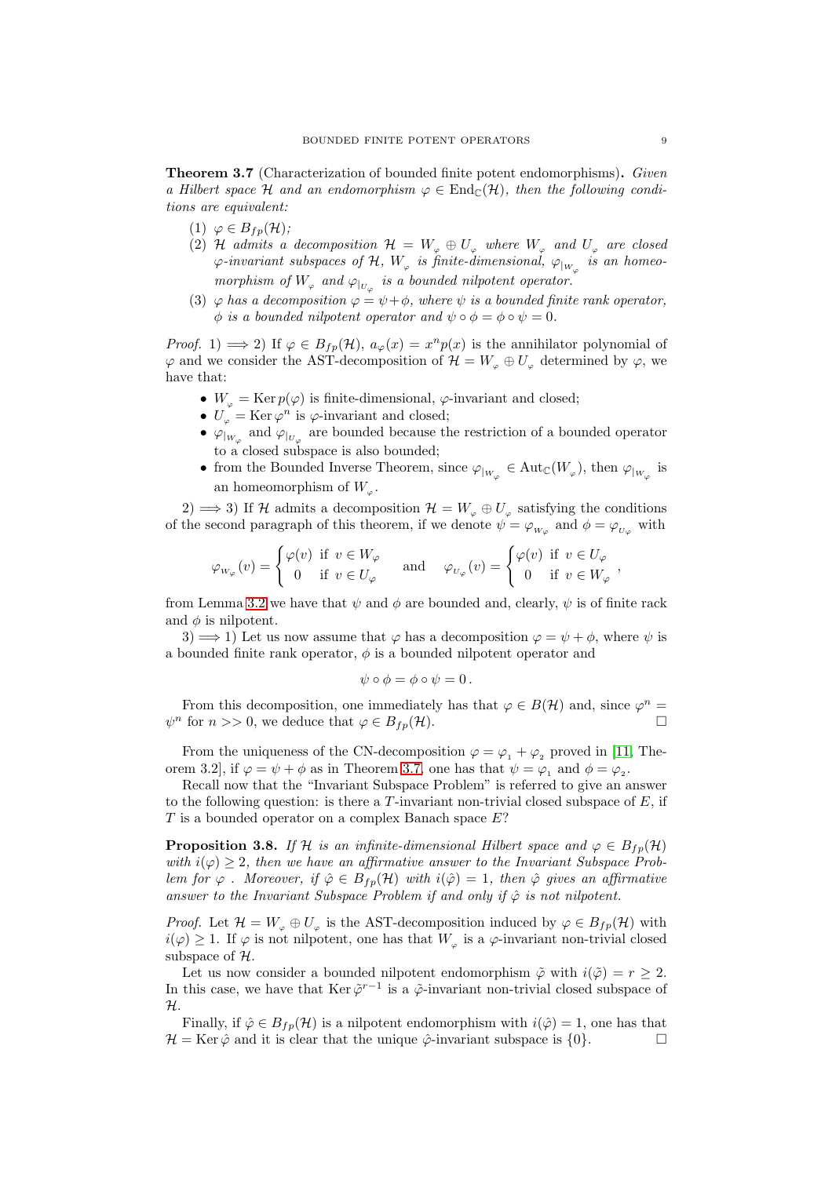<span id="page-8-0"></span>Theorem 3.7 (Characterization of bounded finite potent endomorphisms). Given a Hilbert space H and an endomorphism  $\varphi \in \text{End}_{\mathbb{C}}(\mathcal{H})$ , then the following conditions are equivalent:

- (1)  $\varphi \in B_{fp}(\mathcal{H});$
- (2) H admits a decomposition  $\mathcal{H} = W_{\varphi} \oplus U_{\varphi}$  where  $W_{\varphi}$  and  $U_{\varphi}$  are closed  $\varphi$ -invariant subspaces of  ${\cal H},\ W_\varphi$  is finite-dimensional,  $\varphi_{|_{W_\varphi}}$  is an homeomorphism of  $W_{\varphi}$  and  $\varphi_{|_{U_{\varphi}}}$  is a bounded nilpotent operator.
- (3)  $\varphi$  has a decomposition  $\varphi = \psi + \phi$ , where  $\psi$  is a bounded finite rank operator,  $\phi$  is a bounded nilpotent operator and  $\psi \circ \phi = \phi \circ \psi = 0$ .

*Proof.* 1)  $\implies$  2) If  $\varphi \in B_{fp}(\mathcal{H}), a_{\varphi}(x) = x^n p(x)$  is the annihilator polynomial of  $\varphi$  and we consider the AST-decomposition of  $\mathcal{H} = W_{\varphi} \oplus U_{\varphi}$  determined by  $\varphi$ , we have that:

- $W_{\varphi} = \text{Ker } p(\varphi)$  is finite-dimensional,  $\varphi$ -invariant and closed;
- $U_{\varphi} = \text{Ker}\,\varphi^n$  is  $\varphi$ -invariant and closed;
- $\varphi_{|_{W_{\varphi}}}$  and  $\varphi_{|_{U_{\varphi}}}$  are bounded because the restriction of a bounded operator to a closed subspace is also bounded;
- from the Bounded Inverse Theorem, since  $\varphi_{|_{W_{\varphi}}} \in Aut_{\mathbb{C}}(W_{\varphi}),$  then  $\varphi_{|_{W_{\varphi}}}$  is an homeomorphism of  $W_{\varphi}$ .

2) ⇒ 3) If H admits a decomposition  $\mathcal{H} = W_{\varphi} \oplus U_{\varphi}$  satisfying the conditions of the second paragraph of this theorem, if we denote  $\psi = \varphi_{W_{\varphi}}$  and  $\phi = \varphi_{U_{\varphi}}$  with

$$
\varphi_{W_{\varphi}}(v) = \begin{cases} \varphi(v) & \text{if } v \in W_{\varphi} \\ 0 & \text{if } v \in U_{\varphi} \end{cases} \quad \text{and} \quad \varphi_{U_{\varphi}}(v) = \begin{cases} \varphi(v) & \text{if } v \in U_{\varphi} \\ 0 & \text{if } v \in W_{\varphi} \end{cases}
$$

from Lemma [3.2](#page-7-0) we have that  $\psi$  and  $\phi$  are bounded and, clearly,  $\psi$  is of finite rack and  $\phi$  is nilpotent.

3)  $\implies$  1) Let us now assume that  $\varphi$  has a decomposition  $\varphi = \psi + \phi$ , where  $\psi$  is a bounded finite rank operator,  $\phi$  is a bounded nilpotent operator and

$$
\psi \circ \phi = \phi \circ \psi = 0.
$$

From this decomposition, one immediately has that  $\varphi \in B(\mathcal{H})$  and, since  $\varphi^n =$  $\psi^n$  for  $n >> 0$ , we deduce that  $\varphi \in B_{fp}(\mathcal{H})$ .

From the uniqueness of the CN-decomposition  $\varphi = \varphi_1 + \varphi_2$  proved in [\[11,](#page-17-8) Theorem 3.2, if  $\varphi = \psi + \phi$  as in Theorem [3.7,](#page-8-0) one has that  $\psi = \varphi_1$  and  $\phi = \varphi_2$ .

Recall now that the "Invariant Subspace Problem" is referred to give an answer to the following question: is there a  $T$ -invariant non-trivial closed subspace of  $E$ , if  $T$  is a bounded operator on a complex Banach space  $E$ ?

<span id="page-8-1"></span>**Proposition 3.8.** If H is an infinite-dimensional Hilbert space and  $\varphi \in B_{fp}(\mathcal{H})$ with  $i(\varphi) \geq 2$ , then we have an affirmative answer to the Invariant Subspace Problem for  $\varphi$ . Moreover, if  $\hat{\varphi} \in B_{fp}(\mathcal{H})$  with  $i(\hat{\varphi}) = 1$ , then  $\hat{\varphi}$  gives an affirmative answer to the Invariant Subspace Problem if and only if  $\hat{\varphi}$  is not nilpotent.

*Proof.* Let  $\mathcal{H} = W_{\varphi} \oplus U_{\varphi}$  is the AST-decomposition induced by  $\varphi \in B_{fp}(\mathcal{H})$  with  $i(\varphi) \geq 1$ . If  $\varphi$  is not nilpotent, one has that  $W_{\varphi}$  is a  $\varphi$ -invariant non-trivial closed subspace of  $H$ .

Let us now consider a bounded nilpotent endomorphism  $\tilde{\varphi}$  with  $i(\tilde{\varphi}) = r > 2$ . In this case, we have that  $\text{Ker }\tilde{\varphi}^{r-1}$  is a  $\tilde{\varphi}$ -invariant non-trivial closed subspace of  $\mathcal{H}.$ 

Finally, if  $\hat{\varphi} \in B_{fp}(\mathcal{H})$  is a nilpotent endomorphism with  $i(\hat{\varphi}) = 1$ , one has that  $\mathcal{H} = \text{Ker }\hat{\varphi}$  and it is clear that the unique  $\hat{\varphi}$ -invariant subspace is  $\{0\}.$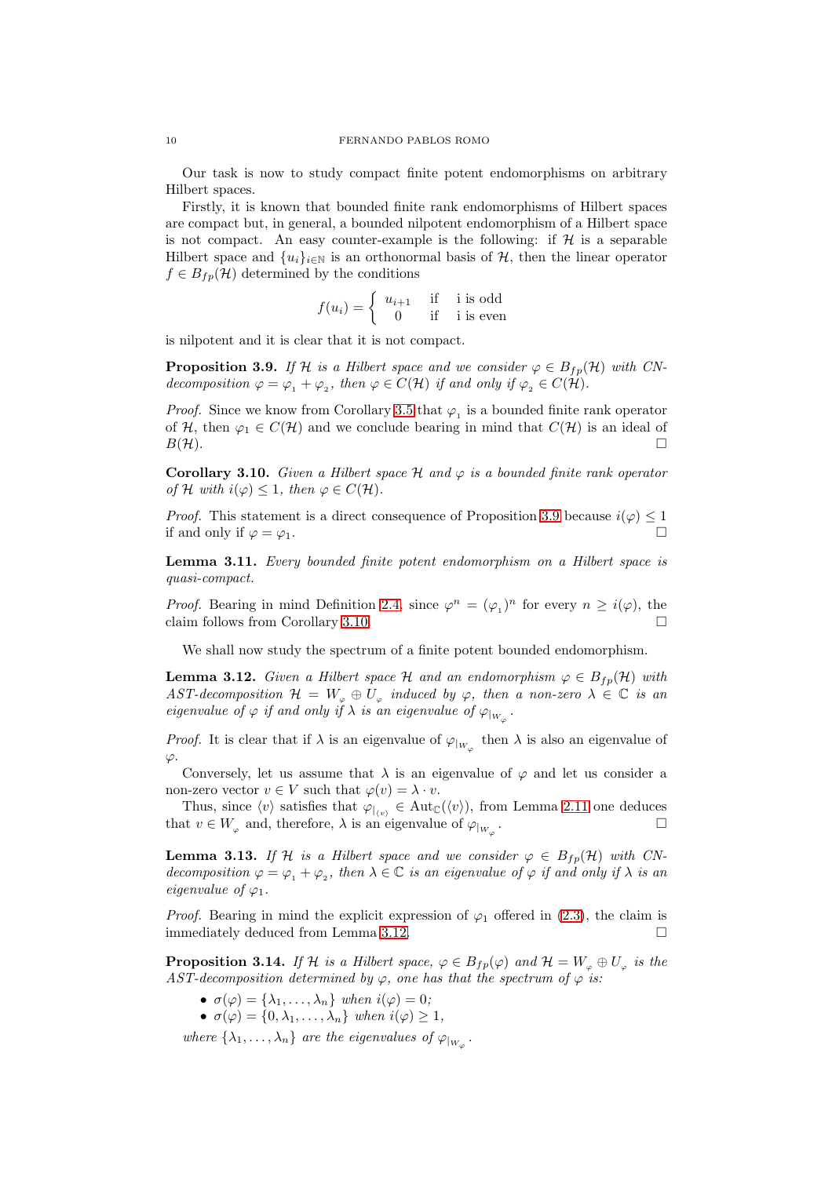Our task is now to study compact finite potent endomorphisms on arbitrary Hilbert spaces.

Firstly, it is known that bounded finite rank endomorphisms of Hilbert spaces are compact but, in general, a bounded nilpotent endomorphism of a Hilbert space is not compact. An easy counter-example is the following: if  $H$  is a separable Hilbert space and  $\{u_i\}_{i\in\mathbb{N}}$  is an orthonormal basis of  $\mathcal{H}$ , then the linear operator  $f \in B_{fp}(\mathcal{H})$  determined by the conditions

$$
f(u_i) = \begin{cases} u_{i+1} & \text{if } i \text{ is odd} \\ 0 & \text{if } i \text{ is even} \end{cases}
$$

is nilpotent and it is clear that it is not compact.

<span id="page-9-0"></span>**Proposition 3.9.** If H is a Hilbert space and we consider  $\varphi \in B_{fp}(\mathcal{H})$  with CNdecomposition  $\varphi = \varphi_1 + \varphi_2$ , then  $\varphi \in C(\mathcal{H})$  if and only if  $\varphi_2 \in C(\mathcal{H})$ .

*Proof.* Since we know from Corollary [3.5](#page-7-3) that  $\varphi_1$  is a bounded finite rank operator of H, then  $\varphi_1 \in C(H)$  and we conclude bearing in mind that  $C(H)$  is an ideal of  $B(\mathcal{H})$ .

<span id="page-9-1"></span>**Corollary 3.10.** Given a Hilbert space  $\mathcal{H}$  and  $\varphi$  is a bounded finite rank operator of H with  $i(\varphi) < 1$ , then  $\varphi \in C(H)$ .

*Proof.* This statement is a direct consequence of Proposition [3.9](#page-9-0) because  $i(\varphi) \leq 1$ if and only if  $\varphi = \varphi_1$ .

Lemma 3.11. Every bounded finite potent endomorphism on a Hilbert space is quasi-compact.

*Proof.* Bearing in mind Definition [2.4,](#page-3-1) since  $\varphi^n = (\varphi_1)^n$  for every  $n \geq i(\varphi)$ , the claim follows from Corollary [3.10.](#page-9-1)

We shall now study the spectrum of a finite potent bounded endomorphism.

<span id="page-9-2"></span>**Lemma 3.12.** Given a Hilbert space H and an endomorphism  $\varphi \in B_{fp}(\mathcal{H})$  with AST-decomposition  $\mathcal{H} = W_{\varphi} \oplus U_{\varphi}$  induced by  $\varphi$ , then a non-zero  $\lambda \in \mathbb{C}$  is an eigenvalue of  $\varphi$  if and only if  $\lambda$  is an eigenvalue of  $\varphi_{|_{W_{\varphi}}}$ .

*Proof.* It is clear that if  $\lambda$  is an eigenvalue of  $\varphi_{|_{W_{\varphi}}}$  then  $\lambda$  is also an eigenvalue of  $\varphi$ .

Conversely, let us assume that  $\lambda$  is an eigenvalue of  $\varphi$  and let us consider a non-zero vector  $v \in V$  such that  $\varphi(v) = \lambda \cdot v$ .

Thus, since  $\langle v \rangle$  satisfies that  $\varphi_{|\langle v \rangle} \in \text{Aut}_{\mathbb{C}}(\langle v \rangle)$ , from Lemma [2.11](#page-5-0) one deduces that  $v \in W_{\varphi}$  and, therefore,  $\lambda$  is an eigenvalue of  $\varphi_{|_{W_{\varphi}}}$ . — Первый профессиональный профессиональный профессиональный профессиональный профессиональный профессиональн<br>В собстановки профессиональный профессиональный профессиональный профессиональный профессиональный профессиона

**Lemma 3.13.** If H is a Hilbert space and we consider  $\varphi \in B_{fp}(\mathcal{H})$  with CNdecomposition  $\varphi = \varphi_1 + \varphi_2$ , then  $\lambda \in \mathbb{C}$  is an eigenvalue of  $\varphi$  if and only if  $\lambda$  is an eigenvalue of  $\varphi_1$ .

*Proof.* Bearing in mind the explicit expression of  $\varphi_1$  offered in [\(2.3\)](#page-6-1), the claim is immediately deduced from Lemma [3.12.](#page-9-2)

<span id="page-9-3"></span>**Proposition 3.14.** If H is a Hilbert space,  $\varphi \in B_{fp}(\varphi)$  and  $\mathcal{H} = W_{\varphi} \oplus U_{\varphi}$  is the AST-decomposition determined by  $\varphi$ , one has that the spectrum of  $\varphi$  is:

- $\sigma(\varphi) = {\lambda_1, \ldots, \lambda_n}$  when  $i(\varphi) = 0$ ;
- $\sigma(\varphi) = \{0, \lambda_1, \ldots, \lambda_n\}$  when  $i(\varphi) \geq 1$ ,

where  $\{\lambda_1,\ldots,\lambda_n\}$  are the eigenvalues of  $\varphi_{|_{W_{\varphi}}}$ .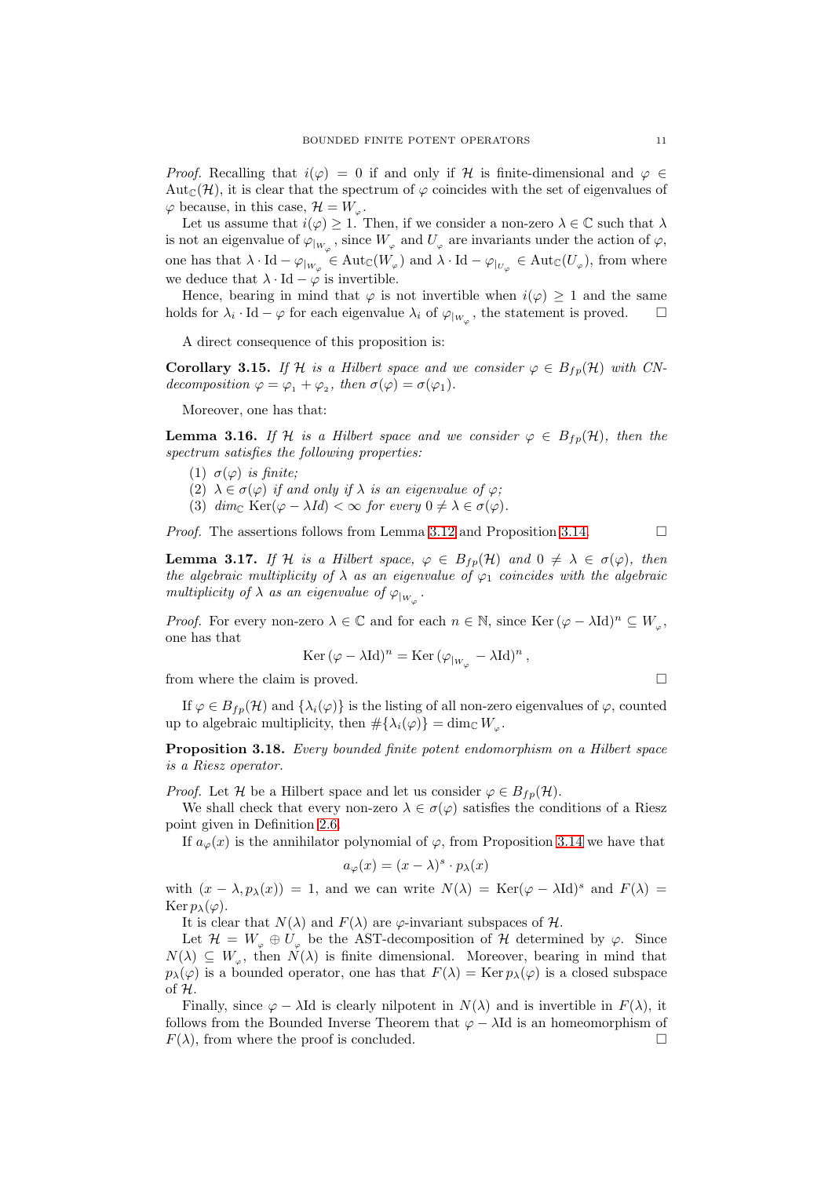*Proof.* Recalling that  $i(\varphi) = 0$  if and only if H is finite-dimensional and  $\varphi \in$ Aut<sub>C</sub>(H), it is clear that the spectrum of  $\varphi$  coincides with the set of eigenvalues of  $\varphi$  because, in this case,  $\mathcal{H} = W_{\varphi}$ .

Let us assume that  $i(\varphi) \geq 1$ . Then, if we consider a non-zero  $\lambda \in \mathbb{C}$  such that  $\lambda$ is not an eigenvalue of  $\varphi_{|_{W_{\varphi}}}$ , since  $W_{\varphi}$  and  $U_{\varphi}$  are invariants under the action of  $\varphi$ , one has that  $\lambda \cdot \text{Id} - \varphi_{|_{W_{\varphi}}} \in \text{Aut}_{\mathbb{C}}(W_{\varphi})$  and  $\lambda \cdot \text{Id} - \varphi_{|_{U_{\varphi}}} \in \text{Aut}_{\mathbb{C}}(U_{\varphi}),$  from where we deduce that  $\lambda \cdot \text{Id} - \varphi$  is invertible.

Hence, bearing in mind that  $\varphi$  is not invertible when  $i(\varphi) \geq 1$  and the same holds for  $\lambda_i \cdot \text{Id} - \varphi$  for each eigenvalue  $\lambda_i$  of  $\varphi_{|_{W_{\varphi}}}$ , the statement is proved.  $\square$ 

A direct consequence of this proposition is:

<span id="page-10-1"></span>**Corollary 3.15.** If H is a Hilbert space and we consider  $\varphi \in B_{fp}(\mathcal{H})$  with CNdecomposition  $\varphi = \varphi_1 + \varphi_2$ , then  $\sigma(\varphi) = \sigma(\varphi_1)$ .

Moreover, one has that:

**Lemma 3.16.** If H is a Hilbert space and we consider  $\varphi \in B_{fp}(\mathcal{H})$ , then the spectrum satisfies the following properties:

- (1)  $\sigma(\varphi)$  is finite;
- (2)  $\lambda \in \sigma(\varphi)$  if and only if  $\lambda$  is an eigenvalue of  $\varphi$ ;
- (3)  $\dim_{\mathbb{C}} \text{Ker}(\varphi \lambda Id) < \infty$  for every  $0 \neq \lambda \in \sigma(\varphi)$ .

*Proof.* The assertions follows from Lemma [3.12](#page-9-2) and Proposition [3.14.](#page-9-3)

<span id="page-10-2"></span>**Lemma 3.17.** If H is a Hilbert space,  $\varphi \in B_{fp}(\mathcal{H})$  and  $0 \neq \lambda \in \sigma(\varphi)$ , then the algebraic multiplicity of  $\lambda$  as an eigenvalue of  $\varphi_1$  coincides with the algebraic multiplicity of  $\lambda$  as an eigenvalue of  $\varphi_{|_{W_{\varphi}}}$ .

*Proof.* For every non-zero  $\lambda \in \mathbb{C}$  and for each  $n \in \mathbb{N}$ , since Ker  $(\varphi - \lambda \mathrm{Id})^n \subseteq W_{\varphi}$ , one has that

$$
\operatorname{Ker}(\varphi - \lambda \mathrm{Id})^n = \operatorname{Ker}(\varphi_{|_{W_{\varphi}}} - \lambda \mathrm{Id})^n,
$$

from where the claim is proved.  $\square$ 

If  $\varphi \in B_{fp}(\mathcal{H})$  and  $\{\lambda_i(\varphi)\}\$ is the listing of all non-zero eigenvalues of  $\varphi$ , counted up to algebraic multiplicity, then  $\#\{\lambda_i(\varphi)\} = \dim_{\mathbb{C}} W_{\varphi}$ .

<span id="page-10-0"></span>Proposition 3.18. Every bounded finite potent endomorphism on a Hilbert space is a Riesz operator.

*Proof.* Let H be a Hilbert space and let us consider  $\varphi \in B_{fn}(\mathcal{H})$ .

We shall check that every non-zero  $\lambda \in \sigma(\varphi)$  satisfies the conditions of a Riesz point given in Definition [2.6.](#page-4-0)

If  $a_{\varphi}(x)$  is the annihilator polynomial of  $\varphi$ , from Proposition [3.14](#page-9-3) we have that

$$
a_{\varphi}(x) = (x - \lambda)^s \cdot p_{\lambda}(x)
$$

with  $(x - \lambda, p_\lambda(x)) = 1$ , and we can write  $N(\lambda) = \text{Ker}(\varphi - \lambda \text{Id})^s$  and  $F(\lambda) =$ Ker  $p_{\lambda}(\varphi)$ .

It is clear that  $N(\lambda)$  and  $F(\lambda)$  are  $\varphi$ -invariant subspaces of  $\mathcal{H}$ .

Let  $\mathcal{H} = W_{\varphi} \oplus U_{\varphi}$  be the AST-decomposition of H determined by  $\varphi$ . Since  $N(\lambda) \subseteq W_{\varphi}$ , then  $N(\lambda)$  is finite dimensional. Moreover, bearing in mind that  $p_{\lambda}(\varphi)$  is a bounded operator, one has that  $F(\lambda) = \text{Ker } p_{\lambda}(\varphi)$  is a closed subspace of H.

Finally, since  $\varphi - \lambda \text{Id}$  is clearly nilpotent in  $N(\lambda)$  and is invertible in  $F(\lambda)$ , it follows from the Bounded Inverse Theorem that  $\varphi - \lambda \text{Id}$  is an homeomorphism of  $F(\lambda)$ , from where the proof is concluded.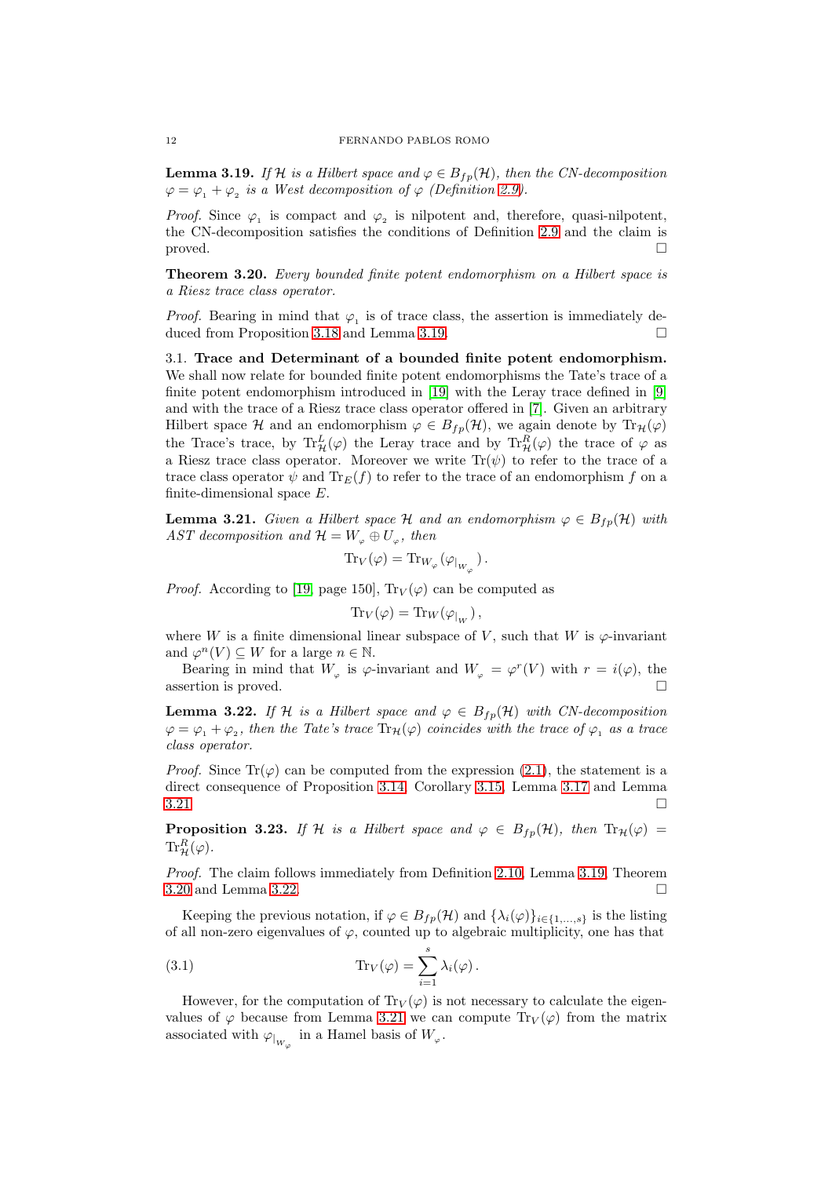<span id="page-11-1"></span>**Lemma 3.19.** If H is a Hilbert space and  $\varphi \in B_{fp}(\mathcal{H})$ , then the CN-decomposition  $\varphi = \varphi_1 + \varphi_2$  is a West decomposition of  $\varphi$  (Definition [2.9\)](#page-4-1).

*Proof.* Since  $\varphi_1$  is compact and  $\varphi_2$  is nilpotent and, therefore, quasi-nilpotent, the CN-decomposition satisfies the conditions of Definition [2.9](#page-4-1) and the claim is  $\Box$ 

<span id="page-11-0"></span>Theorem 3.20. Every bounded finite potent endomorphism on a Hilbert space is a Riesz trace class operator.

*Proof.* Bearing in mind that  $\varphi_1$  is of trace class, the assertion is immediately deduced from Proposition [3.18](#page-10-0) and Lemma [3.19.](#page-11-1)

3.1. Trace and Determinant of a bounded finite potent endomorphism. We shall now relate for bounded finite potent endomorphisms the Tate's trace of a finite potent endomorphism introduced in [\[19\]](#page-17-0) with the Leray trace defined in [\[9\]](#page-17-13) and with the trace of a Riesz trace class operator offered in [\[7\]](#page-17-14). Given an arbitrary Hilbert space H and an endomorphism  $\varphi \in B_{fp}(\mathcal{H})$ , we again denote by  $\text{Tr}_{\mathcal{H}}(\varphi)$ the Trace's trace, by  $\text{Tr}^L_{\mathcal{H}}(\varphi)$  the Leray trace and by  $\text{Tr}^R_{\mathcal{H}}(\varphi)$  the trace of  $\varphi$  as a Riesz trace class operator. Moreover we write  $Tr(\psi)$  to refer to the trace of a trace class operator  $\psi$  and  $\text{Tr}_{E}(f)$  to refer to the trace of an endomorphism f on a finite-dimensional space E.

<span id="page-11-2"></span>**Lemma 3.21.** Given a Hilbert space H and an endomorphism  $\varphi \in B_{fp}(\mathcal{H})$  with AST decomposition and  $\mathcal{H} = W_{\varphi} \oplus U_{\varphi}$ , then

$$
\mathrm{Tr}_V(\varphi)=\mathrm{Tr}_{W_{\varphi}}(\varphi_{|_{W_{\varphi}}}).
$$

*Proof.* According to [\[19,](#page-17-0) page 150],  $Tr_V(\varphi)$  can be computed as

$$
\mathrm{Tr}_V(\varphi)=\mathrm{Tr}_W(\varphi_{\vert_W}),
$$

where W is a finite dimensional linear subspace of V, such that W is  $\varphi$ -invariant and  $\varphi^n(V) \subseteq W$  for a large  $n \in \mathbb{N}$ .

Bearing in mind that  $W_{\varphi}$  is  $\varphi$ -invariant and  $W_{\varphi} = \varphi^{r}(V)$  with  $r = i(\varphi)$ , the assertion is proved.

<span id="page-11-3"></span>**Lemma 3.22.** If H is a Hilbert space and  $\varphi \in B_{fp}(\mathcal{H})$  with CN-decomposition  $\varphi = \varphi_1 + \varphi_2$ , then the Tate's trace  $\text{Tr}_{\mathcal{H}}(\varphi)$  coincides with the trace of  $\varphi_1$  as a trace class operator.

*Proof.* Since  $\text{Tr}(\varphi)$  can be computed from the expression [\(2.1\)](#page-3-2), the statement is a direct consequence of Proposition [3.14,](#page-9-3) Corollary [3.15,](#page-10-1) Lemma [3.17](#page-10-2) and Lemma  $3.21$ 

<span id="page-11-4"></span>**Proposition 3.23.** If H is a Hilbert space and  $\varphi \in B_{fp}(\mathcal{H})$ , then  $Tr_{\mathcal{H}}(\varphi)$  =  $\text{Tr}^R_{\mathcal{H}}(\varphi).$ 

Proof. The claim follows immediately from Definition [2.10,](#page-4-2) Lemma [3.19,](#page-11-1) Theorem [3.20](#page-11-0) and Lemma [3.22.](#page-11-3)

Keeping the previous notation, if  $\varphi \in B_{fp}(\mathcal{H})$  and  $\{\lambda_i(\varphi)\}_{i\in\{1,\ldots,s\}}$  is the listing of all non-zero eigenvalues of  $\varphi$ , counted up to algebraic multiplicity, one has that

<span id="page-11-5"></span>(3.1) 
$$
\operatorname{Tr}_V(\varphi) = \sum_{i=1}^s \lambda_i(\varphi).
$$

However, for the computation of  $\text{Tr}_V(\varphi)$  is not necessary to calculate the eigenvalues of  $\varphi$  because from Lemma [3.21](#page-11-2) we can compute  $\text{Tr}_V(\varphi)$  from the matrix associated with  $\varphi_{|_{W_{\varphi}}}$  in a Hamel basis of  $W_{\varphi}$ .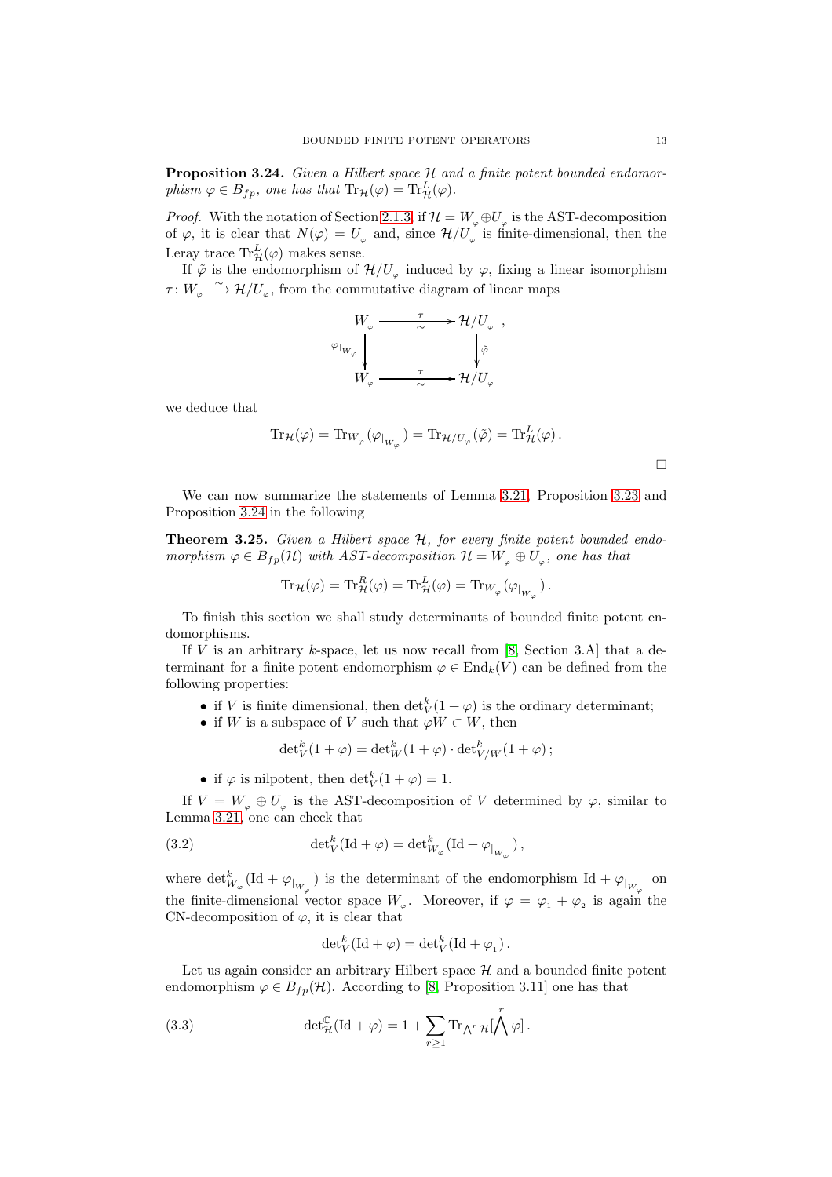<span id="page-12-0"></span>Proposition 3.24. Given a Hilbert space  $H$  and a finite potent bounded endomorphism  $\varphi \in B_{fp}$ , one has that  $\text{Tr}_{\mathcal{H}}(\varphi) = \text{Tr}^L_{\mathcal{H}}(\varphi)$ .

*Proof.* With the notation of Section [2.1.3,](#page-3-3) if  $\mathcal{H} = W_{\varphi} \oplus U_{\varphi}$  is the AST-decomposition of  $\varphi$ , it is clear that  $N(\varphi) = U_{\varphi}$  and, since  $\mathcal{H}/U_{\varphi}$  is finite-dimensional, then the Leray trace  $\text{Tr}_{\mathcal{H}}^{L}(\varphi)$  makes sense.

If  $\tilde{\varphi}$  is the endomorphism of  $\mathcal{H}/U_{\varphi}$  induced by  $\varphi$ , fixing a linear isomorphism  $\tau: W_{\varphi} \longrightarrow \mathcal{H}/U_{\varphi}$ , from the commutative diagram of linear maps

$$
W_{\varphi} \xrightarrow{\tau} \mathcal{H}/U_{\varphi} ,
$$
  
\n
$$
W_{\varphi} \downarrow \qquad \qquad \downarrow \tilde{\varphi}
$$
  
\n
$$
W_{\varphi} \xrightarrow{\tau} \mathcal{H}/U_{\varphi} .
$$

we deduce that

$$
\mathrm{Tr}_{\mathcal{H}}(\varphi) = \mathrm{Tr}_{W_{\varphi}}(\varphi_{|_{W_{\varphi}}}) = \mathrm{Tr}_{\mathcal{H}/U_{\varphi}}(\tilde{\varphi}) = \mathrm{Tr}_{\mathcal{H}}^{L}(\varphi).
$$

 $\Box$ 

We can now summarize the statements of Lemma [3.21,](#page-11-2) Proposition [3.23](#page-11-4) and Proposition [3.24](#page-12-0) in the following

Theorem 3.25. Given a Hilbert space H, for every finite potent bounded endomorphism  $\varphi \in B_{fp}(\mathcal{H})$  with AST-decomposition  $\mathcal{H} = W_{\varphi} \oplus U_{\varphi}$ , one has that

$$
\mathrm{Tr}_{\mathcal{H}}(\varphi) = \mathrm{Tr}^{R}_{\mathcal{H}}(\varphi) = \mathrm{Tr}^{L}_{\mathcal{H}}(\varphi) = \mathrm{Tr}_{W_{\varphi}}(\varphi_{|_{W_{\varphi}}}).
$$

To finish this section we shall study determinants of bounded finite potent endomorphisms.

If  $V$  is an arbitrary  $k$ -space, let us now recall from [\[8,](#page-17-6) Section 3.A] that a determinant for a finite potent endomorphism  $\varphi \in \text{End}_k(V)$  can be defined from the following properties:

- if V is finite dimensional, then  $\det_V^k(1+\varphi)$  is the ordinary determinant;
- if W is a subspace of V such that  $\varphi W \subset W$ , then

$$
\det_V^k(1+\varphi) = \det_W^k(1+\varphi) \cdot \det_{V/W}^k(1+\varphi);
$$

• if  $\varphi$  is nilpotent, then  $\det_V^k(1+\varphi)=1$ .

If  $V = W_{\varphi} \oplus U_{\varphi}$  is the AST-decomposition of V determined by  $\varphi$ , similar to Lemma [3.21,](#page-11-2) one can check that

(3.2) 
$$
\det_V^k(\mathrm{Id} + \varphi) = \det_{W_{\varphi}}^k(\mathrm{Id} + \varphi_{|_{W_{\varphi}}}),
$$

where  $\det^k_{W_\varphi}(\mathrm{Id} + \varphi_{|_{W_\varphi}})$  is the determinant of the endomorphism  $\mathrm{Id} + \varphi_{|_{W_\varphi}}$  on the finite-dimensional vector space  $W_{\varphi}$ . Moreover, if  $\varphi = \varphi_1 + \varphi_2$  is again the CN-decomposition of  $\varphi$ , it is clear that

<span id="page-12-1"></span>
$$
\det_V^k(\mathrm{Id} + \varphi) = \det_V^k(\mathrm{Id} + \varphi_1).
$$

Let us again consider an arbitrary Hilbert space  $H$  and a bounded finite potent endomorphism  $\varphi \in B_{fp}(\mathcal{H})$ . According to [\[8,](#page-17-6) Proposition 3.11] one has that

(3.3) 
$$
\det_{\mathcal{H}}^{\mathbb{C}}(\mathrm{Id} + \varphi) = 1 + \sum_{r \geq 1} \mathrm{Tr}_{\bigwedge^{r} \mathcal{H}}[\bigwedge^{r} \varphi].
$$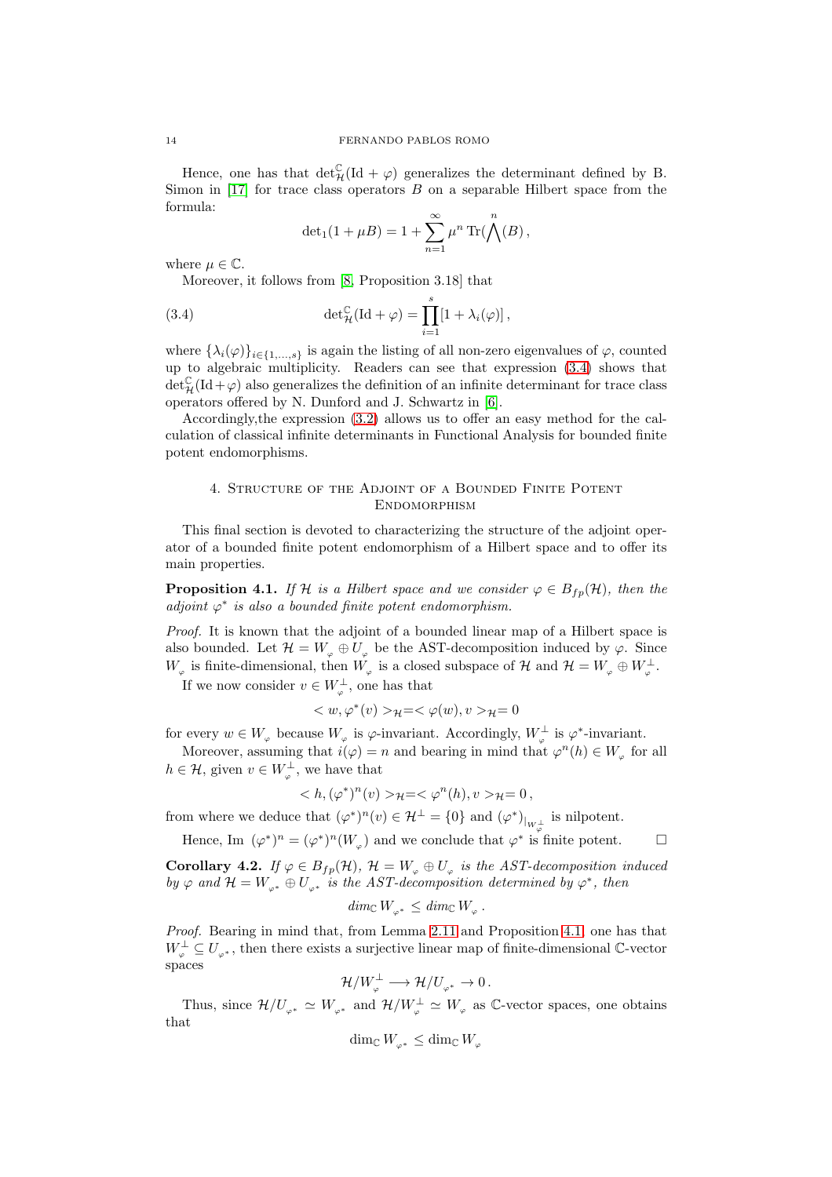Hence, one has that  $\det_{\mathcal{H}}^{\mathbb{C}}(\mathrm{Id} + \varphi)$  generalizes the determinant defined by B. Simon in  $[17]$  for trace class operators  $B$  on a separable Hilbert space from the formula:

<span id="page-13-1"></span>
$$
\det_1(1+\mu B) = 1 + \sum_{n=1}^{\infty} \mu^n \operatorname{Tr}(\bigwedge^n (B),
$$

where  $\mu \in \mathbb{C}$ .

Moreover, it follows from [\[8,](#page-17-6) Proposition 3.18] that

(3.4) 
$$
\det_{\mathcal{H}}^{\mathbb{C}}(\mathrm{Id} + \varphi) = \prod_{i=1}^{s} [1 + \lambda_{i}(\varphi)],
$$

where  $\{\lambda_i(\varphi)\}_{i\in\{1,\ldots,s\}}$  is again the listing of all non-zero eigenvalues of  $\varphi$ , counted up to algebraic multiplicity. Readers can see that expression [\(3.4\)](#page-13-1) shows that  $\det_{\mathcal{H}}^{C}(Id + \varphi)$  also generalizes the definition of an infinite determinant for trace class operators offered by N. Dunford and J. Schwartz in [\[6\]](#page-17-9).

Accordingly,the expression [\(3.2\)](#page-12-1) allows us to offer an easy method for the calculation of classical infinite determinants in Functional Analysis for bounded finite potent endomorphisms.

## <span id="page-13-0"></span>4. Structure of the Adjoint of a Bounded Finite Potent **ENDOMORPHISM**

This final section is devoted to characterizing the structure of the adjoint operator of a bounded finite potent endomorphism of a Hilbert space and to offer its main properties.

<span id="page-13-2"></span>**Proposition 4.1.** If H is a Hilbert space and we consider  $\varphi \in B_{fp}(\mathcal{H})$ , then the adjoint  $\varphi^*$  is also a bounded finite potent endomorphism.

Proof. It is known that the adjoint of a bounded linear map of a Hilbert space is also bounded. Let  $\mathcal{H} = W_{\varphi} \oplus U_{\varphi}$  be the AST-decomposition induced by  $\varphi$ . Since  $W_{\varphi}$  is finite-dimensional, then  $W_{\varphi}$  is a closed subspace of  $\mathcal H$  and  $\mathcal H = W_{\varphi} \oplus W_{\varphi}^{\perp}$ .

If we now consider  $v \in W_{\varphi}^{\perp}$ , one has that

$$
\langle w, \varphi^*(v) \rangle_{\mathcal{H}} = \langle \varphi(w), v \rangle_{\mathcal{H}} = 0
$$

for every  $w \in W_{\varphi}$  because  $W_{\varphi}$  is  $\varphi$ -invariant. Accordingly,  $W_{\varphi}^{\perp}$  is  $\varphi^*$ -invariant.

Moreover, assuming that  $i(\varphi) = n$  and bearing in mind that  $\varphi^n(h) \in W_{\varphi}$  for all  $h \in \mathcal{H}$ , given  $v \in W_{\varphi}^{\perp}$ , we have that

$$
\langle h, (\varphi^*)^n(v) \rangle_{\mathcal{H}} = \langle \varphi^n(h), v \rangle_{\mathcal{H}} = 0,
$$

from where we deduce that  $(\varphi^*)^n(v) \in \mathcal{H}^{\perp} = \{0\}$  and  $(\varphi^*)_{|_{W_{\varphi}^{\perp}}}$  is nilpotent.

Hence, Im  $(\varphi^*)^n = (\varphi^*)^n(W_{\varphi})$  and we conclude that  $\varphi^*$  is finite potent.  $\square$ 

<span id="page-13-3"></span>**Corollary 4.2.** If  $\varphi \in B_{fp}(\mathcal{H})$ ,  $\mathcal{H} = W_{\varphi} \oplus U_{\varphi}$  is the AST-decomposition induced by  $\varphi$  and  $\mathcal{H} = W_{\varphi^*} \oplus U_{\varphi^*}$  is the AST-decomposition determined by  $\varphi^*$ , then

$$
\dim_{\mathbb{C}} W_{\varphi^*} \leq \dim_{\mathbb{C}} W_{\varphi} .
$$

Proof. Bearing in mind that, from Lemma [2.11](#page-5-0) and Proposition [4.1,](#page-13-2) one has that  $W_{\varphi}^{\perp} \subseteq U_{\varphi^*}$ , then there exists a surjective linear map of finite-dimensional C-vector spaces

$$
\mathcal{H}/W_{\varphi}^{\perp} \longrightarrow \mathcal{H}/U_{\varphi^*} \to 0 \, .
$$

Thus, since  $\mathcal{H}/U_{\varphi^*} \simeq W_{\varphi^*}$  and  $\mathcal{H}/W_{\varphi}^{\perp} \simeq W_{\varphi}$  as C-vector spaces, one obtains that

$$
\dim_{\mathbb{C}} W_{_{\varphi^*}} \leq \dim_{\mathbb{C}} W_{_{\varphi}}
$$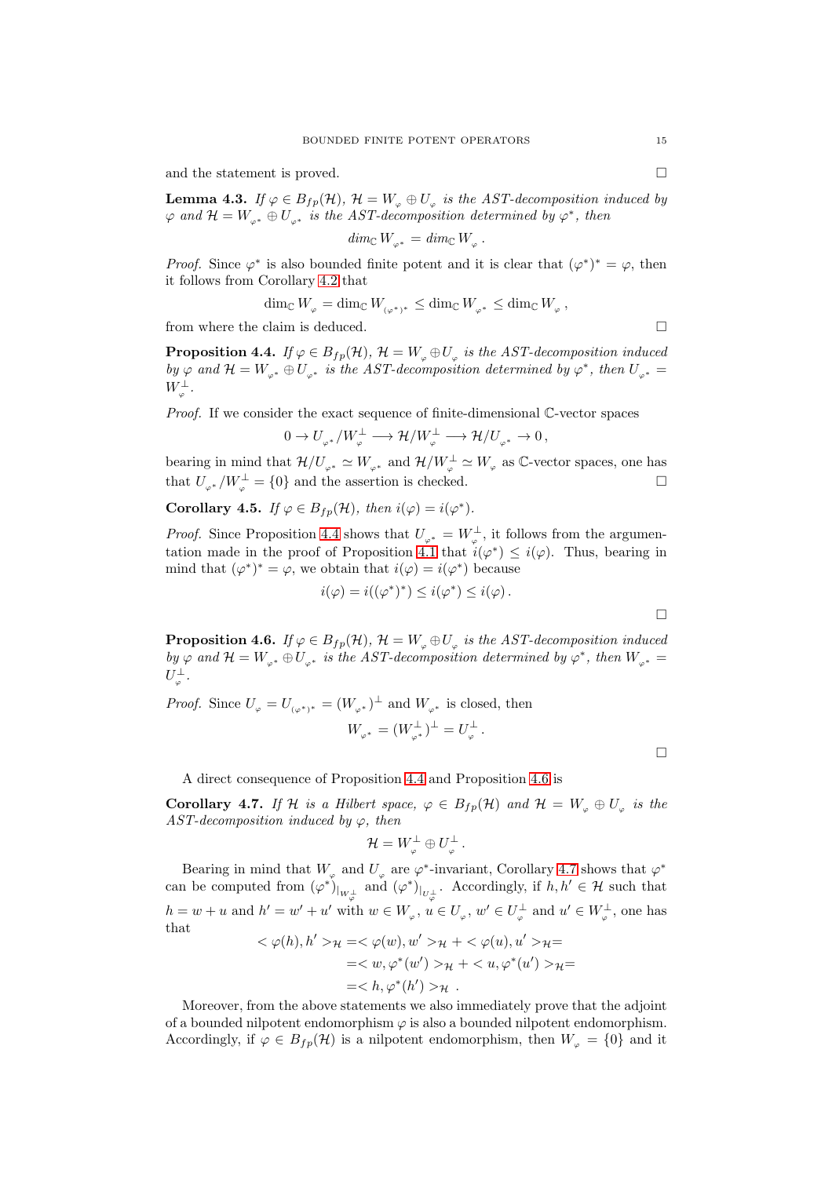and the statement is proved.  $\hfill \square$ 

**Lemma 4.3.** If  $\varphi \in B_{fp}(\mathcal{H})$ ,  $\mathcal{H} = W_{\varphi} \oplus U_{\varphi}$  is the AST-decomposition induced by  $\varphi$  and  $\mathcal{H} = W_{\varphi^*} \oplus U_{\varphi^*}$  is the AST-decomposition determined by  $\varphi^*$ , then

$$
\dim_{\mathbb{C}} W_{_{\varphi^*}} = \dim_{\mathbb{C}} W_{_{\varphi}}
$$

.

*Proof.* Since  $\varphi^*$  is also bounded finite potent and it is clear that  $(\varphi^*)^* = \varphi$ , then it follows from Corollary [4.2](#page-13-3) that

$$
\dim_{\mathbb{C}} W_{_{\varphi}} = \dim_{\mathbb{C}} W_{_{(\varphi^*)^*}} \leq \dim_{\mathbb{C}} W_{_{\varphi^*}} \leq \dim_{\mathbb{C}} W_{_{\varphi}} ,
$$

from where the claim is deduced.

<span id="page-14-0"></span>**Proposition 4.4.** If  $\varphi \in B_{fp}(\mathcal{H})$ ,  $\mathcal{H} = W_{\varphi} \oplus U_{\varphi}$  is the AST-decomposition induced by  $\varphi$  and  $\mathcal{H} = W_{\varphi^*} \oplus U_{\varphi^*}$  is the AST-decomposition determined by  $\varphi^*$ , then  $U_{\varphi^*} =$  $W_{_{\varphi}}^\perp$  .

*Proof.* If we consider the exact sequence of finite-dimensional  $\mathbb{C}$ -vector spaces

$$
0\to U_{_{\varphi^*}}/W_{_{\varphi}}^\perp\longrightarrow \mathcal{H}/W_{_{\varphi}}^\perp\longrightarrow \mathcal{H}/U_{_{\varphi^*}}\to 0\,,
$$

bearing in mind that  $\mathcal{H}/U_{\varphi^*} \simeq W_{\varphi^*}$  and  $\mathcal{H}/W_{\varphi}^{\perp} \simeq W_{\varphi}$  as  $\mathbb{C}\text{-vector spaces}$ , one has that  $U_{\varphi^*}/W_{\varphi}^{\perp} = \{0\}$  and the assertion is checked.

<span id="page-14-3"></span>**Corollary 4.5.** If  $\varphi \in B_{fp}(\mathcal{H})$ , then  $i(\varphi) = i(\varphi^*)$ .

*Proof.* Since Proposition [4.4](#page-14-0) shows that  $U_{\varphi^*} = W_{\varphi}^{\perp}$ , it follows from the argumen-tation made in the proof of Proposition [4.1](#page-13-2) that  $i(\varphi^*) \leq i(\varphi)$ . Thus, bearing in mind that  $(\varphi^*)^* = \varphi$ , we obtain that  $i(\varphi) = i(\varphi^*)$  because

$$
i(\varphi) = i((\varphi^*)^*) \leq i(\varphi^*) \leq i(\varphi).
$$

<span id="page-14-1"></span>**Proposition 4.6.** If  $\varphi \in B_{fp}(\mathcal{H})$ ,  $\mathcal{H} = W_{\varphi} \oplus U_{\varphi}$  is the AST-decomposition induced by  $\varphi$  and  $\mathcal{H} = W_{\varphi^*} \oplus U_{\varphi^*}$  is the AST-decomposition determined by  $\varphi^*$ , then  $W_{\varphi^*} =$  $U_\varphi^\perp.$ 

*Proof.* Since  $U_{\varphi} = U_{(\varphi^*)^*} = (W_{\varphi^*})^{\perp}$  and  $W_{\varphi^*}$  is closed, then

$$
W_{\varphi^*} = (W_{\varphi^*}^{\perp})^{\perp} = U_{\varphi}^{\perp} .
$$

A direct consequence of Proposition [4.4](#page-14-0) and Proposition [4.6](#page-14-1) is

<span id="page-14-2"></span>**Corollary 4.7.** If H is a Hilbert space,  $\varphi \in B_{fp}(\mathcal{H})$  and  $\mathcal{H} = W_{\varphi} \oplus U_{\varphi}$  is the AST-decomposition induced by  $\varphi$ , then

$$
{\cal H}=W_{_\varphi}^\perp\oplus U_{_\varphi}^\perp\,.
$$

Bearing in mind that  $W_{\varphi}$  and  $U_{\varphi}$  are  $\varphi^*$ -invariant, Corollary [4.7](#page-14-2) shows that  $\varphi^*$ can be computed from  $(\varphi^*)_{|_{W_{\varphi}^\perp}}$  and  $(\varphi^*)_{|_{U_{\varphi}^\perp}}$ . Accordingly, if  $h, h' \in \mathcal{H}$  such that  $h = w + u$  and  $h' = w' + u'$  with  $w \in W_{\varphi}$ ,  $u \in U_{\varphi}$ ,  $w' \in U_{\varphi}^{\perp}$  and  $u' \in W_{\varphi}^{\perp}$ , one has that

$$
\langle \varphi(h), h' \rangle_{\mathcal{H}} = \langle \varphi(w), w' \rangle_{\mathcal{H}} + \langle \varphi(u), u' \rangle_{\mathcal{H}} =
$$
  
= $\langle w, \varphi^*(w') \rangle_{\mathcal{H}} + \langle u, \varphi^*(u') \rangle_{\mathcal{H}} =$   
= $\langle h, \varphi^*(h') \rangle_{\mathcal{H}}.$ 

Moreover, from the above statements we also immediately prove that the adjoint of a bounded nilpotent endomorphism  $\varphi$  is also a bounded nilpotent endomorphism. Accordingly, if  $\varphi \in B_{fp}(\mathcal{H})$  is a nilpotent endomorphism, then  $W_{\varphi} = \{0\}$  and it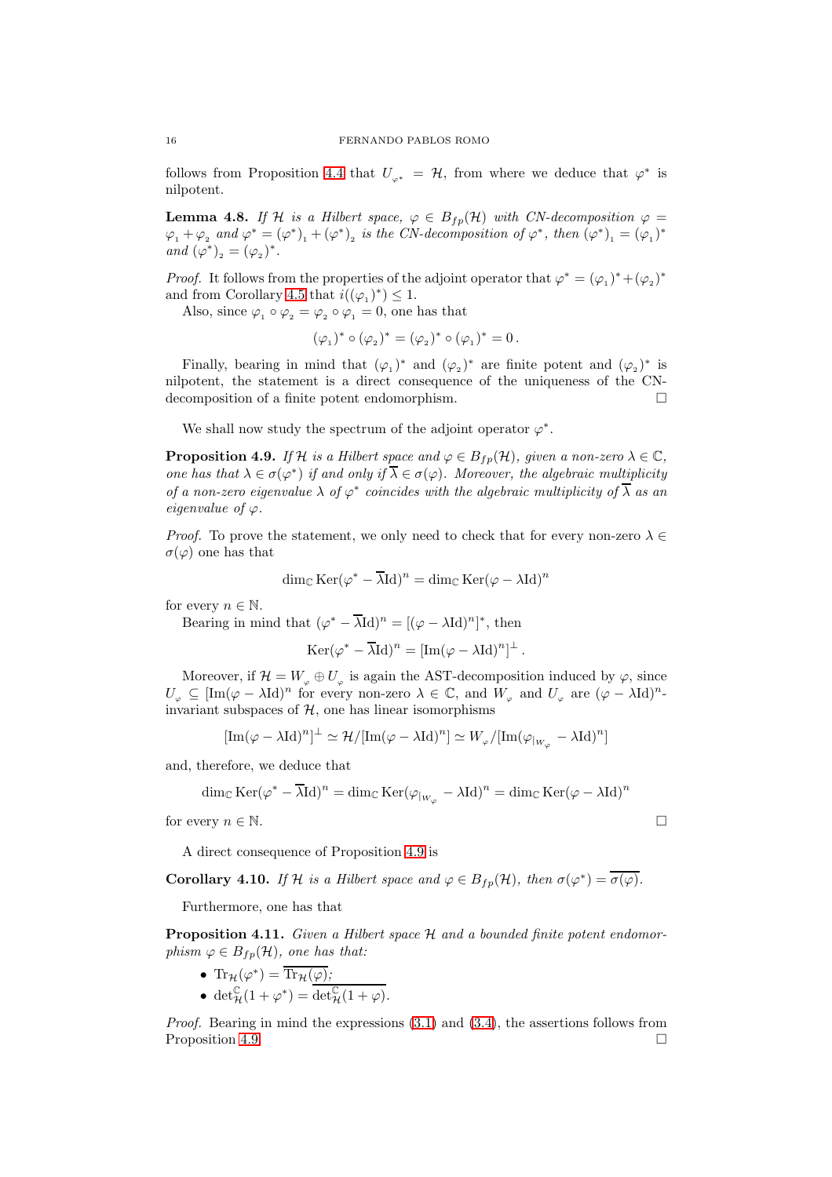follows from Proposition [4.4](#page-14-0) that  $U_{\varphi^*} = \mathcal{H}$ , from where we deduce that  $\varphi^*$  is nilpotent.

<span id="page-15-1"></span>**Lemma 4.8.** If H is a Hilbert space,  $\varphi \in B_{fp}(\mathcal{H})$  with CN-decomposition  $\varphi =$  $\varphi_1 + \varphi_2$  and  $\varphi^* = (\varphi^*)_1 + (\varphi^*)_2$  is the CN-decomposition of  $\varphi^*$ , then  $(\varphi^*)_1 = (\varphi_1)^*$ and  $(\varphi^*)_2 = (\varphi_2)^*.$ 

*Proof.* It follows from the properties of the adjoint operator that  $\varphi^* = (\varphi_1)^* + (\varphi_2)^*$ and from Corollary [4.5](#page-14-3) that  $i((\varphi_1)^*) \leq 1$ .

Also, since  $\varphi_1 \circ \varphi_2 = \varphi_2 \circ \varphi_1 = 0$ , one has that

$$
(\varphi_1)^* \circ (\varphi_2)^* = (\varphi_2)^* \circ (\varphi_1)^* = 0.
$$

Finally, bearing in mind that  $(\varphi_1)^*$  and  $(\varphi_2)^*$  are finite potent and  $(\varphi_2)^*$  is nilpotent, the statement is a direct consequence of the uniqueness of the CNdecomposition of a finite potent endomorphism.

We shall now study the spectrum of the adjoint operator  $\varphi^*$ .

<span id="page-15-0"></span>**Proposition 4.9.** If H is a Hilbert space and  $\varphi \in B_{fp}(\mathcal{H})$ , given a non-zero  $\lambda \in \mathbb{C}$ , one has that  $\lambda \in \sigma(\varphi^*)$  if and only if  $\overline{\lambda} \in \sigma(\varphi)$ . Moreover, the algebraic multiplicity of a non-zero eigenvalue  $\lambda$  of  $\varphi^*$  coincides with the algebraic multiplicity of  $\overline{\lambda}$  as an eigenvalue of  $\varphi$ .

*Proof.* To prove the statement, we only need to check that for every non-zero  $\lambda \in$  $\sigma(\varphi)$  one has that

$$
\dim_{\mathbb{C}} \operatorname{Ker}(\varphi^* - \overline{\lambda} \mathrm{Id})^n = \dim_{\mathbb{C}} \operatorname{Ker}(\varphi - \lambda \mathrm{Id})^n
$$

for every  $n \in \mathbb{N}$ .

Bearing in mind that  $(\varphi^* - \overline{\lambda} \mathrm{Id})^n = [(\varphi - \lambda \mathrm{Id})^n]^*$ , then

$$
Ker(\varphi^* - \overline{\lambda}Id)^n = [Im(\varphi - \lambda Id)^n]^\perp.
$$

Moreover, if  $\mathcal{H} = W_{\varphi} \oplus U_{\varphi}$  is again the AST-decomposition induced by  $\varphi$ , since  $U_{\varphi} \subseteq [\text{Im}(\varphi - \lambda \text{Id})^n]$  for every non-zero  $\lambda \in \mathbb{C}$ , and  $W_{\varphi}$  and  $U_{\varphi}$  are  $(\varphi - \lambda \text{Id})^n$ invariant subspaces of  $H$ , one has linear isomorphisms

$$
[\text{Im}(\varphi - {\lambda} \text{Id})^n]^\perp \simeq {\mathcal H}/[\text{Im}(\varphi - {\lambda} \text{Id})^n] \simeq W_\varphi/[\text{Im}(\varphi_{|_{W_\varphi}} - {\lambda} \text{Id})^n]
$$

and, therefore, we deduce that

$$
\dim_{\mathbb{C}} \operatorname{Ker}(\varphi^* - \overline{\lambda} \mathrm{Id})^n = \dim_{\mathbb{C}} \operatorname{Ker}(\varphi_{|_{W_{\varphi}}} - \lambda \mathrm{Id})^n = \dim_{\mathbb{C}} \operatorname{Ker}(\varphi - \lambda \mathrm{Id})^n
$$

for every  $n \in \mathbb{N}$ .

A direct consequence of Proposition [4.9](#page-15-0) is

**Corollary 4.10.** If H is a Hilbert space and  $\varphi \in B_{fp}(\mathcal{H})$ , then  $\sigma(\varphi^*) = \overline{\sigma(\varphi)}$ .

Furthermore, one has that

**Proposition 4.11.** Given a Hilbert space  $H$  and a bounded finite potent endomorphism  $\varphi \in B_{fp}(\mathcal{H})$ , one has that:

- Tr $_{\mathcal{H}}(\varphi^*) = \overline{\text{Tr}_{\mathcal{H}}(\varphi)}$ ;
- det $_{\mathcal{H}}^{\mathbb{C}}(1+\varphi^*)=\overline{\det_{\mathcal{H}}^{\mathbb{C}}(1+\varphi)}$ .

Proof. Bearing in mind the expressions  $(3.1)$  and  $(3.4)$ , the assertions follows from Proposition [4.9.](#page-15-0)

$$
\sqcup
$$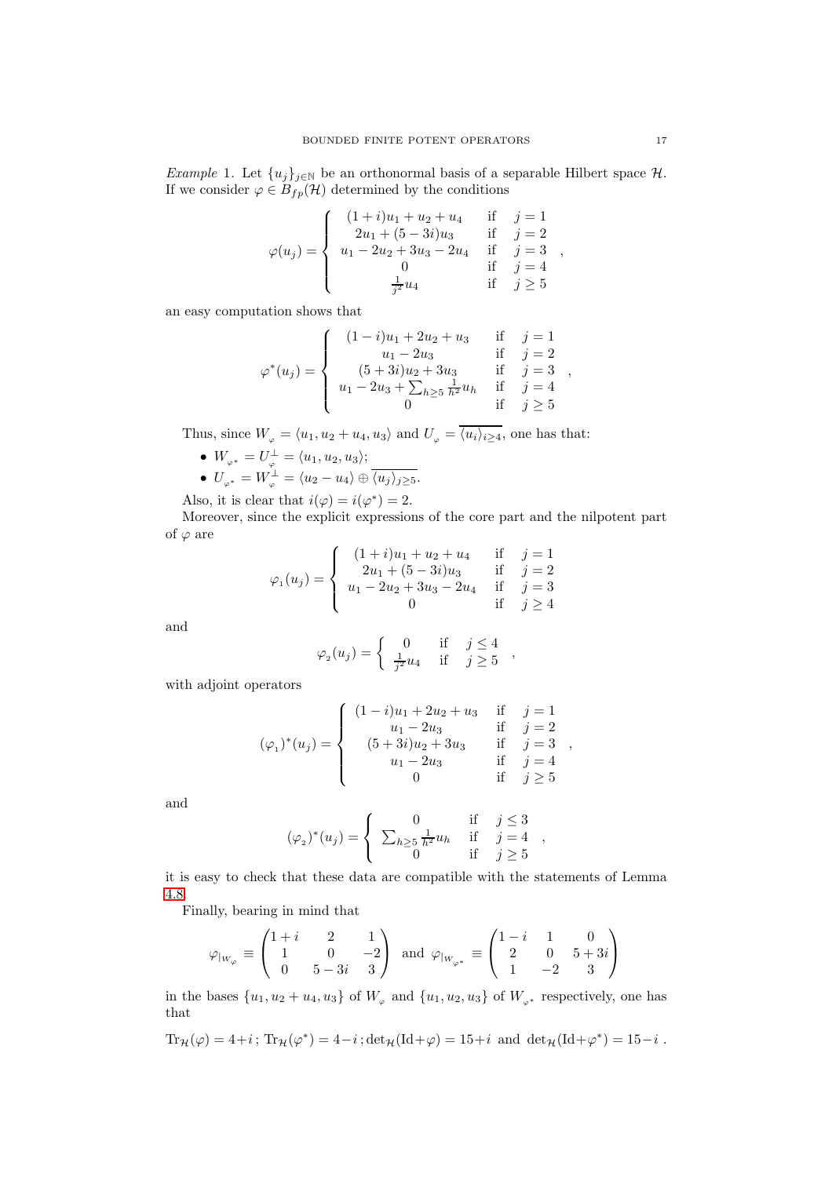<span id="page-16-0"></span>Example 1. Let  $\{u_j\}_{j\in\mathbb{N}}$  be an orthonormal basis of a separable Hilbert space  $\mathcal{H}$ . If we consider  $\varphi \in B_{fp}(\mathcal{H})$  determined by the conditions

$$
\varphi(u_j) = \begin{cases}\n(1+i)u_1 + u_2 + u_4 & \text{if } j = 1 \\
2u_1 + (5-3i)u_3 & \text{if } j = 2 \\
u_1 - 2u_2 + 3u_3 - 2u_4 & \text{if } j = 3 \\
0 & \text{if } j = 4 \\
\frac{1}{j^2}u_4 & \text{if } j \ge 5\n\end{cases}
$$

an easy computation shows that

$$
\varphi^*(u_j) = \begin{cases}\n(1-i)u_1 + 2u_2 + u_3 & \text{if } j = 1 \\
u_1 - 2u_3 & \text{if } j = 2 \\
(5+3i)u_2 + 3u_3 & \text{if } j = 3 \\
u_1 - 2u_3 + \sum_{h \ge 5} \frac{1}{h^2} u_h & \text{if } j = 4 \\
0 & \text{if } j \ge 5\n\end{cases}
$$

Thus, since  $W_{\varphi} = \langle u_1, u_2 + u_4, u_3 \rangle$  and  $U_{\varphi} = \overline{\langle u_i \rangle_{i \geq 4}}$ , one has that:

- $W_{\varphi^*} = U_{\varphi}^{\perp} = \langle u_1, u_2, u_3 \rangle;$
- $\bullet$   $U_{\varphi^*} = W_{\varphi}^{\perp} = \langle u_2 u_4 \rangle \oplus \overline{\langle u_j \rangle_{j \geq 5}}.$

Also, it is clear that  $i(\varphi) = i(\varphi^*) = 2$ .

Moreover, since the explicit expressions of the core part and the nilpotent part of  $\varphi$  are

$$
\varphi_1(u_j) = \begin{cases}\n(1+i)u_1 + u_2 + u_4 & \text{if } j = 1 \\
2u_1 + (5-3i)u_3 & \text{if } j = 2 \\
u_1 - 2u_2 + 3u_3 - 2u_4 & \text{if } j = 3 \\
0 & \text{if } j \ge 4\n\end{cases}
$$

and

$$
\varphi_2(u_j) = \begin{cases} 0 & \text{if } j \le 4\\ \frac{1}{j^2}u_4 & \text{if } j \ge 5 \end{cases}
$$

,

with adjoint operators

$$
(\varphi_1)^*(u_j) = \begin{cases} (1-i)u_1 + 2u_2 + u_3 & \text{if } j = 1\\ u_1 - 2u_3 & \text{if } j = 2\\ (5+3i)u_2 + 3u_3 & \text{if } j = 3\\ u_1 - 2u_3 & \text{if } j = 4\\ 0 & \text{if } j \ge 5 \end{cases}
$$

and

$$
(\varphi_2)^*(u_j) = \begin{cases} 0 & \text{if } j \le 3 \\ \sum_{h \ge 5} \frac{1}{h^2} u_h & \text{if } j = 4 \\ 0 & \text{if } j \ge 5 \end{cases},
$$

it is easy to check that these data are compatible with the statements of Lemma [4.8.](#page-15-1)

Finally, bearing in mind that

$$
\varphi_{|_{W_{\varphi}}} \equiv \begin{pmatrix} 1+i & 2 & 1 \\ 1 & 0 & -2 \\ 0 & 5-3i & 3 \end{pmatrix} \text{ and } \varphi_{|_{W_{\varphi^*}}} \equiv \begin{pmatrix} 1-i & 1 & 0 \\ 2 & 0 & 5+3i \\ 1 & -2 & 3 \end{pmatrix}
$$

in the bases  $\{u_1, u_2 + u_4, u_3\}$  of  $W_\varphi$  and  $\{u_1, u_2, u_3\}$  of  $W_{\varphi^*}$  respectively, one has that

$$
\mathrm{Tr}_\mathcal{H}(\varphi)=4+i\,;\,\mathrm{Tr}_\mathcal{H}(\varphi^*)=4-i\,;\det_\mathcal{H}(\mathrm{Id}+\varphi)=15+i\ \, \mathrm{and}\ \, \det_\mathcal{H}(\mathrm{Id}+\varphi^*)=15-i\,\,.
$$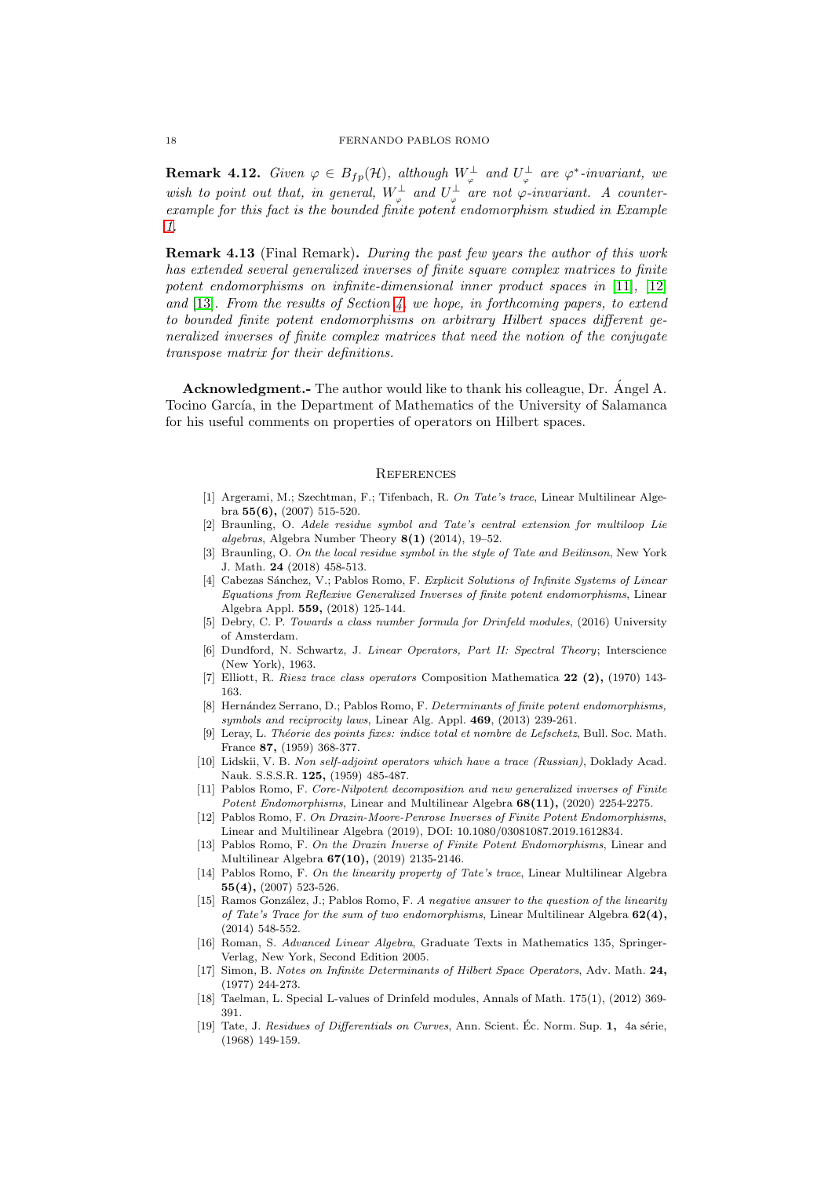**Remark 4.12.** Given  $\varphi \in B_{fp}(\mathcal{H})$ , although  $W_{\varphi}^{\perp}$  and  $U_{\varphi}^{\perp}$  are  $\varphi^*$ -invariant, we wish to point out that, in general,  $W_{\varphi}^{\perp}$  and  $U_{\varphi}^{\perp}$  are not  $\varphi$ -invariant. A counterexample for this fact is the bounded finite potent endomorphism studied in Example [1.](#page-16-0)

Remark 4.13 (Final Remark). During the past few years the author of this work has extended several generalized inverses of finite square complex matrices to finite potent endomorphisms on infinite-dimensional inner product spaces in [\[11\]](#page-17-8), [\[12\]](#page-17-18) and  $[13]$ . From the results of Section [4,](#page-13-0) we hope, in forthcoming papers, to extend to bounded finite potent endomorphisms on arbitrary Hilbert spaces different generalized inverses of finite complex matrices that need the notion of the conjugate transpose matrix for their definitions.

Acknowledgment.- The author would like to thank his colleague, Dr. Angel A. Tocino García, in the Department of Mathematics of the University of Salamanca for his useful comments on properties of operators on Hilbert spaces.

#### **REFERENCES**

- <span id="page-17-7"></span>[1] Argerami, M.; Szechtman, F.; Tifenbach, R. On Tate's trace, Linear Multilinear Algebra 55(6), (2007) 515-520.
- <span id="page-17-1"></span>[2] Braunling, O. Adele residue symbol and Tate's central extension for multiloop Lie algebras, Algebra Number Theory  $8(1)$  (2014), 19-52.
- <span id="page-17-2"></span>[3] Braunling, O. On the local residue symbol in the style of Tate and Beilinson, New York J. Math. 24 (2018) 458-513.
- <span id="page-17-5"></span>[4] Cabezas Sánchez, V.; Pablos Romo, F. Explicit Solutions of Infinite Systems of Linear Equations from Reflexive Generalized Inverses of finite potent endomorphisms, Linear Algebra Appl. 559, (2018) 125-144.
- <span id="page-17-9"></span><span id="page-17-3"></span>[5] Debry, C. P. Towards a class number formula for Drinfeld modules, (2016) University of Amsterdam.
- [6] Dundford, N. Schwartz, J. Linear Operators, Part II: Spectral Theory; Interscience (New York), 1963.
- <span id="page-17-14"></span>[7] Elliott, R. Riesz trace class operators Composition Mathematica 22 (2), (1970) 143- 163.
- <span id="page-17-6"></span>[8] Hernández Serrano, D.; Pablos Romo, F. Determinants of finite potent endomorphisms, symbols and reciprocity laws, Linear Alg. Appl. 469, (2013) 239-261.
- <span id="page-17-13"></span>[9] Leray, L. Théorie des points fixes: indice total et nombre de Lefschetz, Bull. Soc. Math. France 87, (1959) 368-377.
- <span id="page-17-12"></span>[10] Lidskii, V. B. Non self-adjoint operators which have a trace (Russian), Doklady Acad. Nauk. S.S.S.R. 125, (1959) 485-487.
- <span id="page-17-8"></span>[11] Pablos Romo, F. Core-Nilpotent decomposition and new generalized inverses of Finite Potent Endomorphisms, Linear and Multilinear Algebra 68(11), (2020) 2254-2275.
- <span id="page-17-18"></span>[12] Pablos Romo, F. On Drazin-Moore-Penrose Inverses of Finite Potent Endomorphisms, Linear and Multilinear Algebra (2019), DOI: 10.1080/03081087.2019.1612834.
- <span id="page-17-17"></span>[13] Pablos Romo, F. On the Drazin Inverse of Finite Potent Endomorphisms, Linear and Multilinear Algebra 67(10), (2019) 2135-2146.
- <span id="page-17-15"></span>[14] Pablos Romo, F. On the linearity property of Tate's trace, Linear Multilinear Algebra 55(4), (2007) 523-526.
- <span id="page-17-16"></span>[15] Ramos González, J.; Pablos Romo, F. A negative answer to the question of the linearity of Tate's Trace for the sum of two endomorphisms, Linear Multilinear Algebra  $62(4)$ , (2014) 548-552.
- <span id="page-17-11"></span>[16] Roman, S. Advanced Linear Algebra, Graduate Texts in Mathematics 135, Springer-Verlag, New York, Second Edition 2005.
- <span id="page-17-10"></span>[17] Simon, B. Notes on Infinite Determinants of Hilbert Space Operators, Adv. Math. 24, (1977) 244-273.
- <span id="page-17-4"></span>[18] Taelman, L. Special L-values of Drinfeld modules, Annals of Math. 175(1), (2012) 369-391.
- <span id="page-17-0"></span>[19] Tate, J. Residues of Differentials on Curves, Ann. Scient. Ec. Norm. Sup. 1, 4a série, (1968) 149-159.